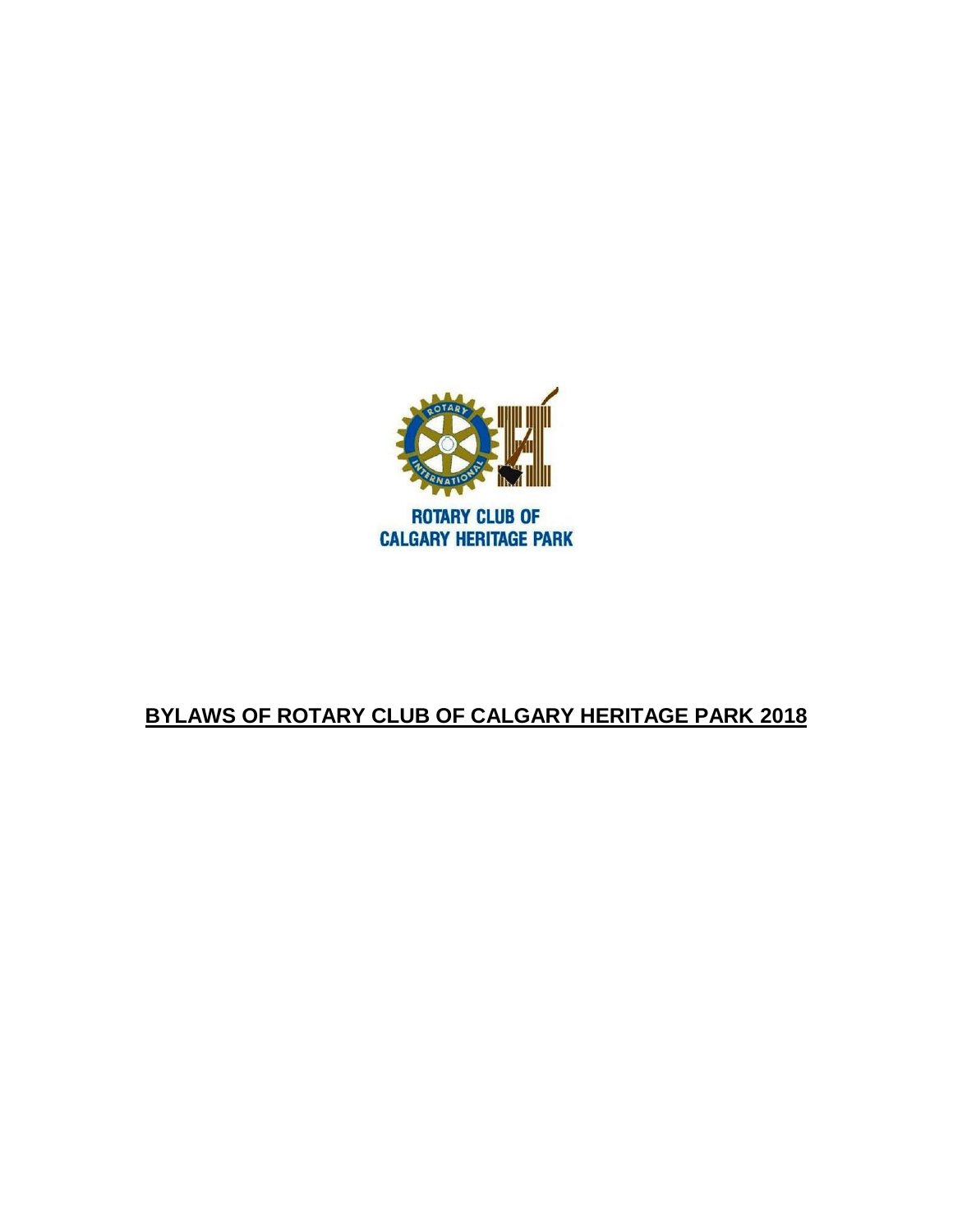

# **BYLAWS OF ROTARY CLUB OF CALGARY HERITAGE PARK 2018**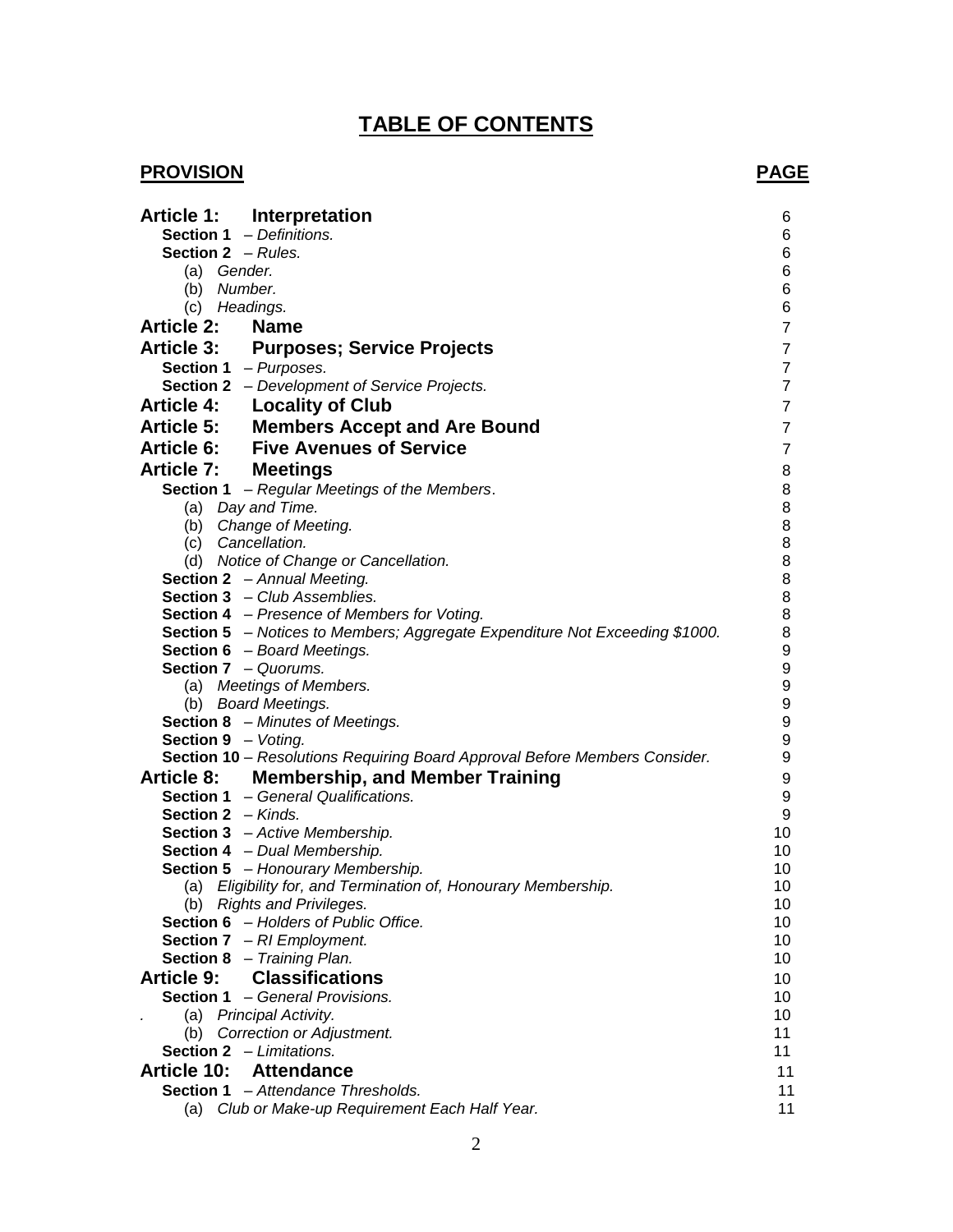# **TABLE OF CONTENTS**

## **PROVISION** PAGE

| Article 1: Interpretation                                                   | 6                                    |
|-----------------------------------------------------------------------------|--------------------------------------|
| Section 1 - Definitions.                                                    | 6                                    |
| <b>Section 2</b> $-$ <i>Rules.</i>                                          | $\,6$                                |
| (a) Gender.                                                                 | $\,6\,$                              |
| (b) Number.                                                                 | $\,6$                                |
| (c) Headings.                                                               | 6                                    |
| <b>Article 2:</b><br><b>Name</b>                                            | $\overline{7}$                       |
| Article 3: Purposes; Service Projects                                       | $\boldsymbol{7}$                     |
| <b>Section 1</b> $-Purposes$ .                                              | $\overline{7}$                       |
| <b>Section 2</b> - Development of Service Projects.                         | $\overline{7}$                       |
| <b>Article 4:</b> Locality of Club                                          | $\overline{7}$                       |
| Article 5: Members Accept and Are Bound                                     | $\overline{7}$                       |
| <b>Article 6: Five Avenues of Service</b>                                   | $\overline{7}$                       |
| <b>Article 7: Meetings</b>                                                  | 8                                    |
| Section 1 - Regular Meetings of the Members.                                | 8                                    |
| (a) Day and Time.                                                           | 8                                    |
| (b) Change of Meeting.                                                      | 8                                    |
| (c) Cancellation.                                                           | 8                                    |
| (d) Notice of Change or Cancellation.                                       | 8                                    |
| <b>Section 2</b> - Annual Meeting.                                          | $\bf 8$                              |
| <b>Section 3</b> - Club Assemblies.                                         | $\bf 8$                              |
| <b>Section 4</b> – Presence of Members for Voting.                          | $\bf 8$                              |
| Section 5 - Notices to Members; Aggregate Expenditure Not Exceeding \$1000. | 8                                    |
| <b>Section 6</b> - Board Meetings.                                          | $\boldsymbol{9}$                     |
| <b>Section 7</b> - Quorums.                                                 | $\boldsymbol{9}$                     |
| (a) Meetings of Members.                                                    | $\boldsymbol{9}$<br>$\boldsymbol{9}$ |
| (b) Board Meetings.<br><b>Section 8</b> - Minutes of Meetings.              | $\boldsymbol{9}$                     |
| Section 9 - Voting.                                                         | $\boldsymbol{9}$                     |
| Section 10 - Resolutions Requiring Board Approval Before Members Consider.  | $\boldsymbol{9}$                     |
| Article 8: Membership, and Member Training                                  | $\boldsymbol{9}$                     |
| <b>Section 1</b> - General Qualifications.                                  | $\boldsymbol{9}$                     |
| <b>Section 2</b> $-$ Kinds.                                                 | $\boldsymbol{9}$                     |
| Section 3 - Active Membership.                                              | 10                                   |
| Section 4 - Dual Membership.                                                | 10                                   |
| Section 5 - Honourary Membership.                                           | 10                                   |
| (a) Eligibility for, and Termination of, Honourary Membership.              | 10                                   |
| (b) Rights and Privileges.                                                  | 10                                   |
| <b>Section 6</b> - Holders of Public Office.                                | 10                                   |
| <b>Section 7</b> $-$ RI Employment.                                         | 10                                   |
| <b>Section 8</b> - Training Plan.                                           | 10                                   |
| <b>Classifications</b><br><b>Article 9:</b>                                 | 10                                   |
| <b>Section 1</b> - General Provisions.                                      | 10                                   |
| (a) Principal Activity.                                                     | 10                                   |
| (b) Correction or Adjustment.                                               | 11                                   |
| <b>Section 2</b> $-$ <i>Limitations.</i>                                    | 11                                   |
| <b>Article 10:</b><br><b>Attendance</b>                                     | 11                                   |
| Section 1 - Attendance Thresholds.                                          | 11                                   |
| Club or Make-up Requirement Each Half Year.<br>(a)                          | 11                                   |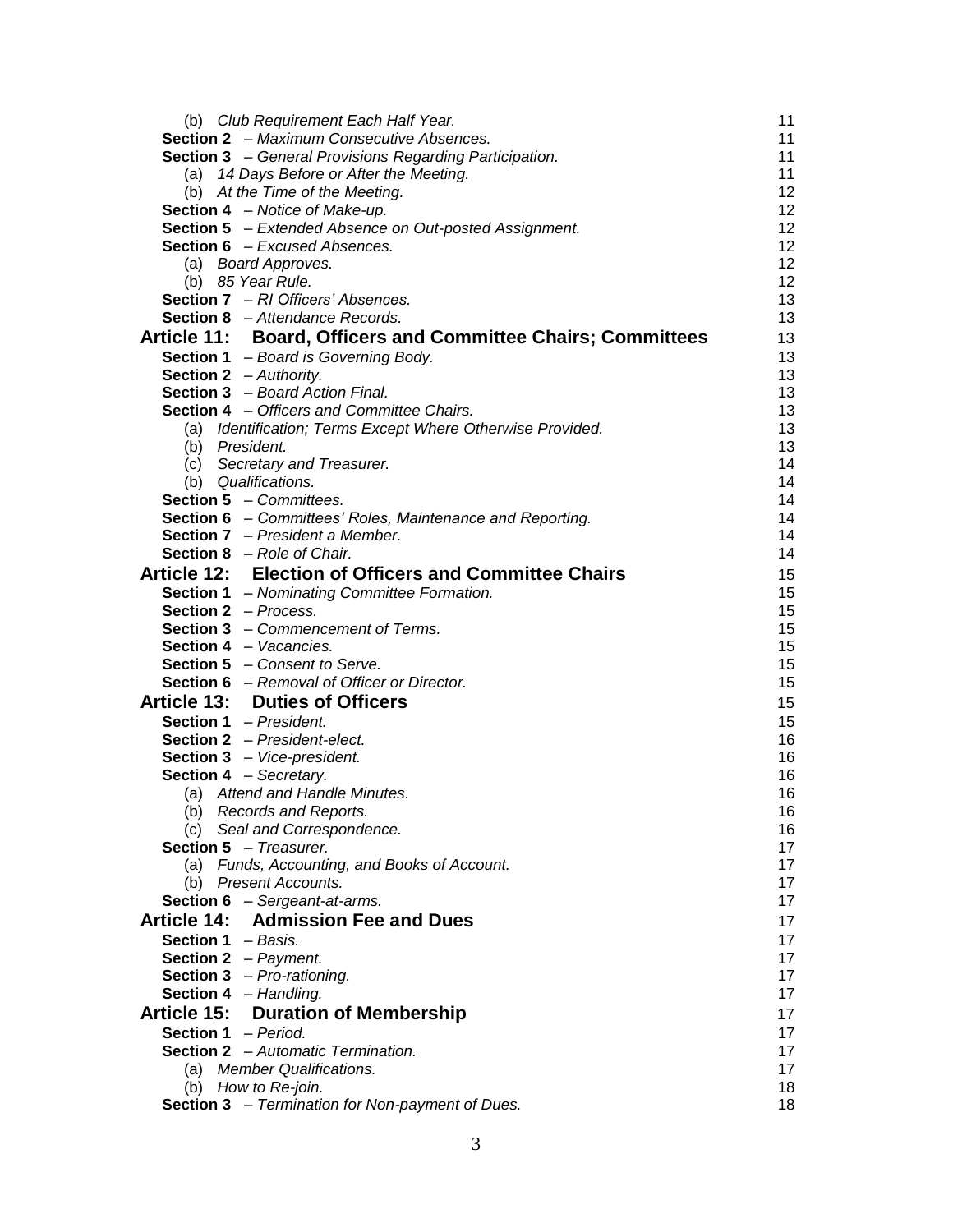| (b) Club Requirement Each Half Year.                                  | 11       |
|-----------------------------------------------------------------------|----------|
| <b>Section 2</b> - Maximum Consecutive Absences.                      | 11       |
| <b>Section 3</b> - General Provisions Regarding Participation.        | 11       |
| (a) 14 Days Before or After the Meeting.                              | 11       |
| (b) At the Time of the Meeting.                                       | 12       |
| Section 4 - Notice of Make-up.                                        | 12       |
| <b>Section 5</b> - Extended Absence on Out-posted Assignment.         | 12       |
| Section 6 - Excused Absences.                                         | 12       |
| (a) Board Approves.                                                   | 12       |
| (b) 85 Year Rule.                                                     | 12       |
| Section 7 - RI Officers' Absences.                                    | 13       |
| <b>Section 8</b> - Attendance Records.                                | 13       |
| Article 11: Board, Officers and Committee Chairs; Committees          | 13       |
| Section 1 - Board is Governing Body.                                  | 13       |
| Section 2 - Authority.                                                | 13       |
| Section 3 - Board Action Final.                                       | 13       |
| <b>Section 4</b> - Officers and Committee Chairs.                     | 13       |
| (a) Identification; Terms Except Where Otherwise Provided.            | 13       |
| (b) President.                                                        | 13       |
| (c) Secretary and Treasurer.                                          | 14       |
| (b) Qualifications.                                                   | 14       |
| <b>Section 5</b> - Committees.                                        | 14       |
| Section 6 - Committees' Roles, Maintenance and Reporting.             | 14       |
| <b>Section 7</b> – President a Member.                                | 14       |
| <b>Section 8</b> $-$ <i>Role of Chair.</i>                            | 14       |
| Article 12: Election of Officers and Committee Chairs                 | 15       |
| <b>Section 1</b> - Nominating Committee Formation.                    | 15       |
| <b>Section 2</b> - Process.                                           | 15       |
| <b>Section 3</b> - Commencement of Terms.                             | 15       |
| <b>Section 4</b> – Vacancies.                                         | 15       |
| <b>Section 5</b> – Consent to Serve.                                  | 15       |
| <b>Section 6</b> - Removal of Officer or Director.                    | 15       |
| <b>Article 13: Duties of Officers</b>                                 | 15       |
| Section 1 - President.                                                | 15       |
|                                                                       |          |
| <b>Section 2</b> - President-elect.                                   | 16       |
| Section 3 - Vice-president.                                           | 16       |
| <b>Section 4</b> - Secretary.<br>(a) Attend and Handle Minutes.       | 16<br>16 |
|                                                                       |          |
| (b) Records and Reports.                                              | 16       |
| (c) Seal and Correspondence.<br><b>Section 5</b> - Treasurer.         | 16<br>17 |
|                                                                       | 17       |
| (a) Funds, Accounting, and Books of Account.<br>(b) Present Accounts. | 17       |
|                                                                       | 17       |
| Section 6 - Sergeant-at-arms.                                         |          |
| <b>Article 14: Admission Fee and Dues</b>                             | 17       |
| <b>Section 1</b> $-$ Basis.                                           | 17       |
| <b>Section 2</b> - Payment.                                           | 17       |
| <b>Section 3</b> $-$ <i>Pro-rationing.</i>                            | 17       |
| Section 4 - Handling.                                                 | 17       |
| Article 15:<br><b>Duration of Membership</b>                          | 17       |
| <b>Section 1</b> - Period.                                            | 17       |
| <b>Section 2</b> - Automatic Termination.                             | 17       |
| (a) Member Qualifications.                                            | 17       |
| (b) How to Re-join.                                                   | 18       |
| <b>Section 3</b> - Termination for Non-payment of Dues.               | 18       |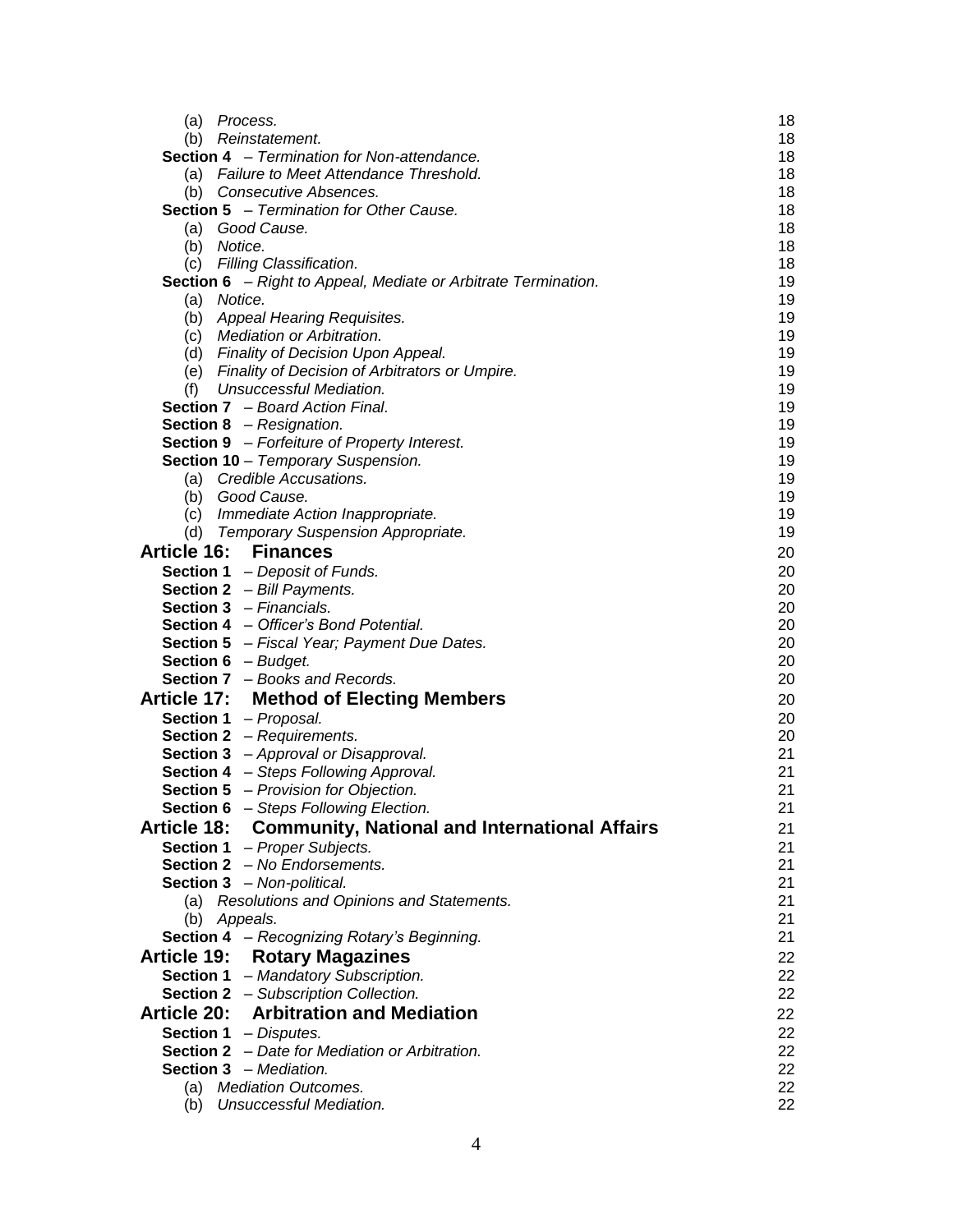| (a)<br>Process.                                                                   | 18       |
|-----------------------------------------------------------------------------------|----------|
| (b) Reinstatement.                                                                | 18       |
| <b>Section 4</b> – Termination for Non-attendance.                                | 18       |
| (a) Failure to Meet Attendance Threshold.                                         | 18       |
| (b) Consecutive Absences.                                                         | 18       |
| <b>Section 5</b> - Termination for Other Cause.                                   | 18       |
| Good Cause.<br>(a)                                                                | 18       |
| (b) Notice.                                                                       | 18       |
| (c) Filling Classification.                                                       | 18       |
| <b>Section 6</b> - Right to Appeal, Mediate or Arbitrate Termination.             | 19       |
| (a) Notice.                                                                       | 19       |
| (b) Appeal Hearing Requisites.                                                    | 19       |
| (c) Mediation or Arbitration.                                                     | 19       |
| (d) Finality of Decision Upon Appeal.                                             | 19       |
| (e) Finality of Decision of Arbitrators or Umpire.                                | 19       |
| Unsuccessful Mediation.<br>(f)                                                    | 19       |
| <b>Section 7</b> - Board Action Final.                                            | 19       |
| <b>Section 8</b> - Resignation.                                                   | 19       |
| <b>Section 9</b> - Forfeiture of Property Interest.                               | 19       |
| Section 10 - Temporary Suspension.                                                | 19       |
| Credible Accusations.<br>(a)<br>(b) Good Cause.                                   | 19<br>19 |
| (c) Immediate Action Inappropriate.                                               | 19       |
|                                                                                   | 19       |
| (d) Temporary Suspension Appropriate.                                             |          |
| <b>Article 16: Finances</b>                                                       | 20       |
| <b>Section 1</b> - Deposit of Funds.                                              | 20       |
| <b>Section 2</b> $-$ Bill Payments.                                               | 20       |
| <b>Section 3</b> - Financials.                                                    | 20       |
| Section 4 - Officer's Bond Potential.                                             | 20       |
| <b>Section 5</b> - Fiscal Year; Payment Due Dates.                                | 20       |
| <b>Section 6</b> $-$ <i>Budget.</i>                                               | 20<br>20 |
| <b>Section 7</b> - Books and Records.                                             |          |
| <b>Article 17: Method of Electing Members</b>                                     | 20       |
| Section 1 - Proposal.                                                             | 20       |
| <b>Section 2</b> - Requirements.                                                  | 20       |
| <b>Section 3</b> - Approval or Disapproval.                                       | 21       |
| Section 4 - Steps Following Approval.                                             | 21<br>21 |
| <b>Section 5</b> - Provision for Objection.                                       | 21       |
| <b>Section 6</b> - Steps Following Election.                                      |          |
| <b>Community, National and International Affairs</b><br><b>Article 18:</b>        | 21       |
| Section 1 - Proper Subjects.                                                      | 21       |
| Section 2 - No Endorsements.                                                      | 21<br>21 |
| <b>Section 3</b> - Non-political.<br>(a) Resolutions and Opinions and Statements. | 21       |
| (b) Appeals.                                                                      | 21       |
| Section 4 - Recognizing Rotary's Beginning.                                       | 21       |
| <b>Rotary Magazines</b><br><b>Article 19:</b>                                     | 22       |
| Section 1 - Mandatory Subscription.                                               | 22       |
|                                                                                   | 22       |
| <b>Section 2</b> - Subscription Collection.                                       |          |
| <b>Article 20: Arbitration and Mediation</b>                                      | 22       |
| <b>Section 1</b> - Disputes.                                                      | 22       |
| Section 2 - Date for Mediation or Arbitration.                                    | 22       |
| <b>Section 3</b> - Mediation.                                                     | 22       |
| (a) Mediation Outcomes.                                                           | 22<br>22 |
| (b) Unsuccessful Mediation.                                                       |          |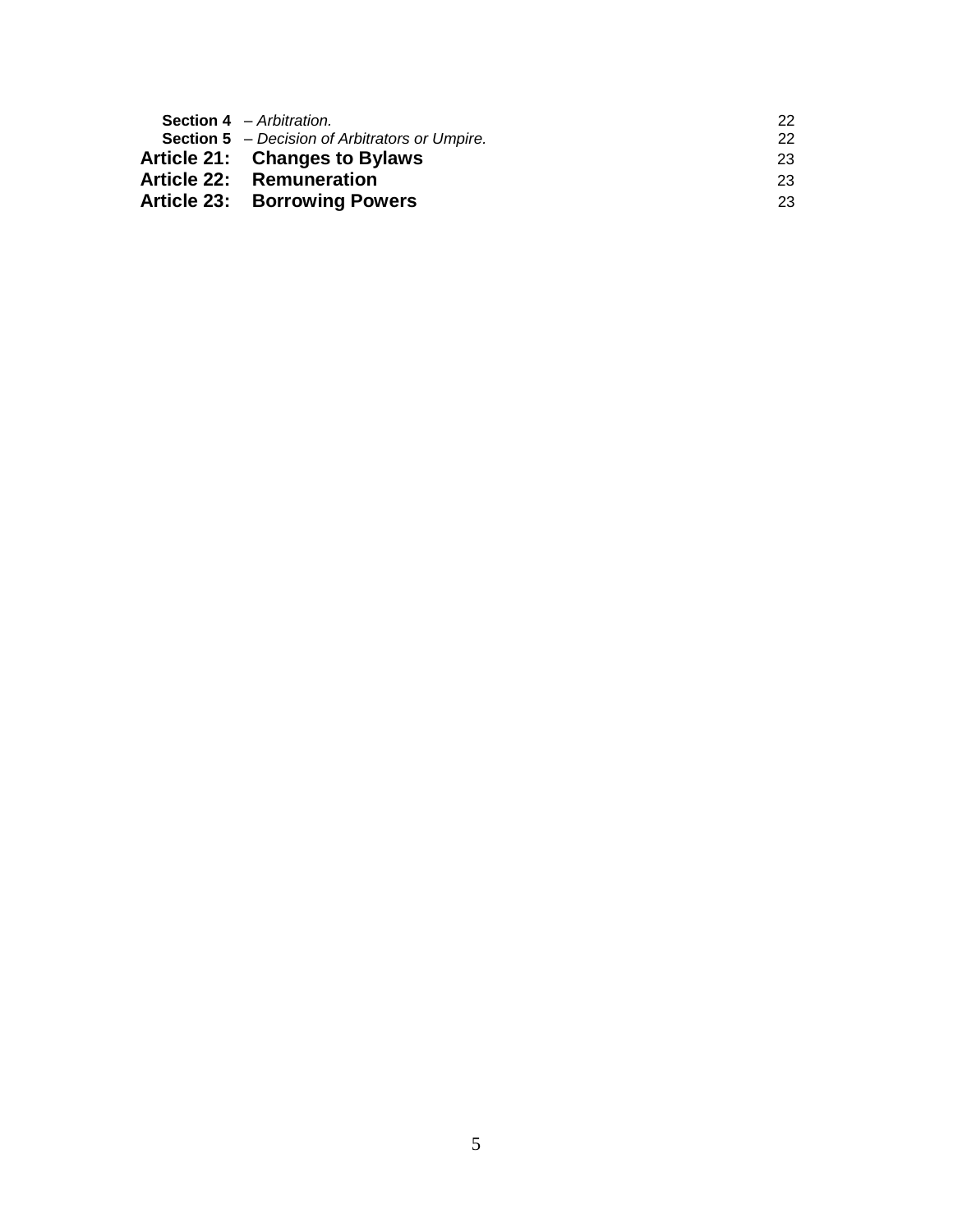| <b>Section 4</b> – Arbitration.                       | 22 |
|-------------------------------------------------------|----|
| <b>Section 5</b> – Decision of Arbitrators or Umpire. | 22 |
| Article 21: Changes to Bylaws                         | 23 |
| Article 22: Remuneration                              | 23 |
| <b>Article 23: Borrowing Powers</b>                   | 23 |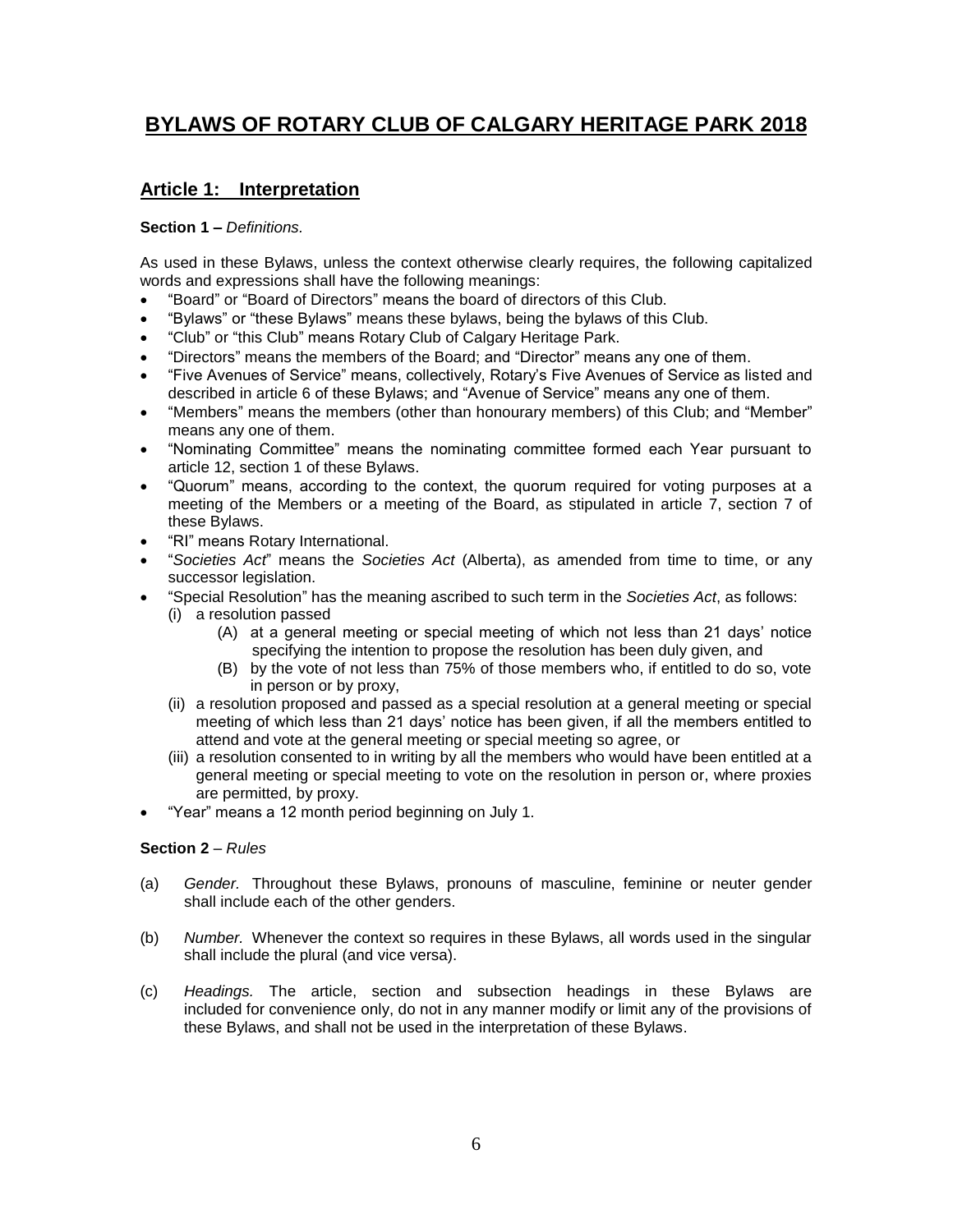# **BYLAWS OF ROTARY CLUB OF CALGARY HERITAGE PARK 2018**

## **Article 1: Interpretation**

#### **Section 1 –** *Definitions.*

As used in these Bylaws, unless the context otherwise clearly requires, the following capitalized words and expressions shall have the following meanings:

- "Board" or "Board of Directors" means the board of directors of this Club.
- "Bylaws" or "these Bylaws" means these bylaws, being the bylaws of this Club.
- "Club" or "this Club" means Rotary Club of Calgary Heritage Park.
- "Directors" means the members of the Board; and "Director" means any one of them.
- "Five Avenues of Service" means, collectively, Rotary's Five Avenues of Service as listed and described in article 6 of these Bylaws; and "Avenue of Service" means any one of them.
- "Members" means the members (other than honourary members) of this Club; and "Member" means any one of them.
- "Nominating Committee" means the nominating committee formed each Year pursuant to article 12, section 1 of these Bylaws.
- "Quorum" means, according to the context, the quorum required for voting purposes at a meeting of the Members or a meeting of the Board, as stipulated in article 7, section 7 of these Bylaws.
- "RI" means Rotary International.
- "*Societies Act*" means the *Societies Act* (Alberta), as amended from time to time, or any successor legislation.
- "Special Resolution" has the meaning ascribed to such term in the *Societies Act*, as follows: (i) a resolution passed
	- (A) at a general meeting or special meeting of which not less than 21 days' notice specifying the intention to propose the resolution has been duly given, and
	- (B) by the vote of not less than 75% of those members who, if entitled to do so, vote in person or by proxy,
	- (ii) a resolution proposed and passed as a special resolution at a general meeting or special meeting of which less than 21 days' notice has been given, if all the members entitled to attend and vote at the general meeting or special meeting so agree, or
	- (iii) a resolution consented to in writing by all the members who would have been entitled at a general meeting or special meeting to vote on the resolution in person or, where proxies are permitted, by proxy.
- "Year" means a 12 month period beginning on July 1.

#### **Section 2** – *Rules*

- (a) *Gender.* Throughout these Bylaws, pronouns of masculine, feminine or neuter gender shall include each of the other genders.
- (b) *Number.* Whenever the context so requires in these Bylaws, all words used in the singular shall include the plural (and vice versa).
- (c) *Headings.* The article, section and subsection headings in these Bylaws are included for convenience only, do not in any manner modify or limit any of the provisions of these Bylaws, and shall not be used in the interpretation of these Bylaws.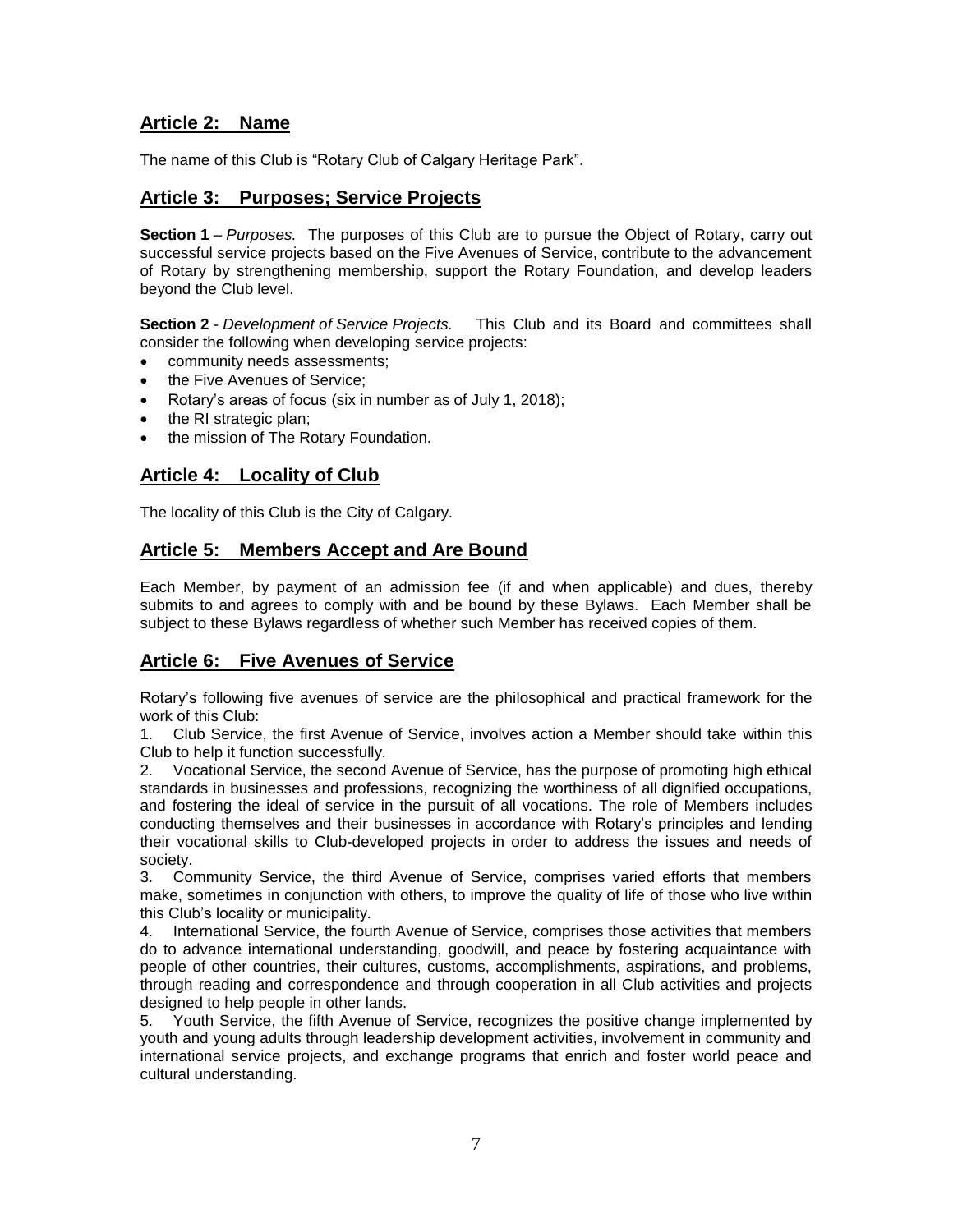## **Article 2: Name**

The name of this Club is "Rotary Club of Calgary Heritage Park".

## **Article 3: Purposes; Service Projects**

**Section 1** *– Purposes.* The purposes of this Club are to pursue the Object of Rotary, carry out successful service projects based on the Five Avenues of Service, contribute to the advancement of Rotary by strengthening membership, support the Rotary Foundation, and develop leaders beyond the Club level.

**Section 2** - *Development of Service Projects.* This Club and its Board and committees shall consider the following when developing service projects:

- community needs assessments;
- the Five Avenues of Service;
- Rotary's areas of focus (six in number as of July 1, 2018);
- the RI strategic plan;
- the mission of The Rotary Foundation.

## **Article 4: Locality of Club**

The locality of this Club is the City of Calgary.

#### **Article 5: Members Accept and Are Bound**

Each Member, by payment of an admission fee (if and when applicable) and dues, thereby submits to and agrees to comply with and be bound by these Bylaws. Each Member shall be subject to these Bylaws regardless of whether such Member has received copies of them.

## **Article 6: Five Avenues of Service**

Rotary's following five avenues of service are the philosophical and practical framework for the work of this Club:

1. Club Service, the first Avenue of Service, involves action a Member should take within this Club to help it function successfully.

2. Vocational Service, the second Avenue of Service, has the purpose of promoting high ethical standards in businesses and professions, recognizing the worthiness of all dignified occupations, and fostering the ideal of service in the pursuit of all vocations. The role of Members includes conducting themselves and their businesses in accordance with Rotary's principles and lending their vocational skills to Club-developed projects in order to address the issues and needs of society.

3. Community Service, the third Avenue of Service, comprises varied efforts that members make, sometimes in conjunction with others, to improve the quality of life of those who live within this Club's locality or municipality.

4. International Service, the fourth Avenue of Service, comprises those activities that members do to advance international understanding, goodwill, and peace by fostering acquaintance with people of other countries, their cultures, customs, accomplishments, aspirations, and problems, through reading and correspondence and through cooperation in all Club activities and projects designed to help people in other lands.

5. Youth Service, the fifth Avenue of Service, recognizes the positive change implemented by youth and young adults through leadership development activities, involvement in community and international service projects, and exchange programs that enrich and foster world peace and cultural understanding.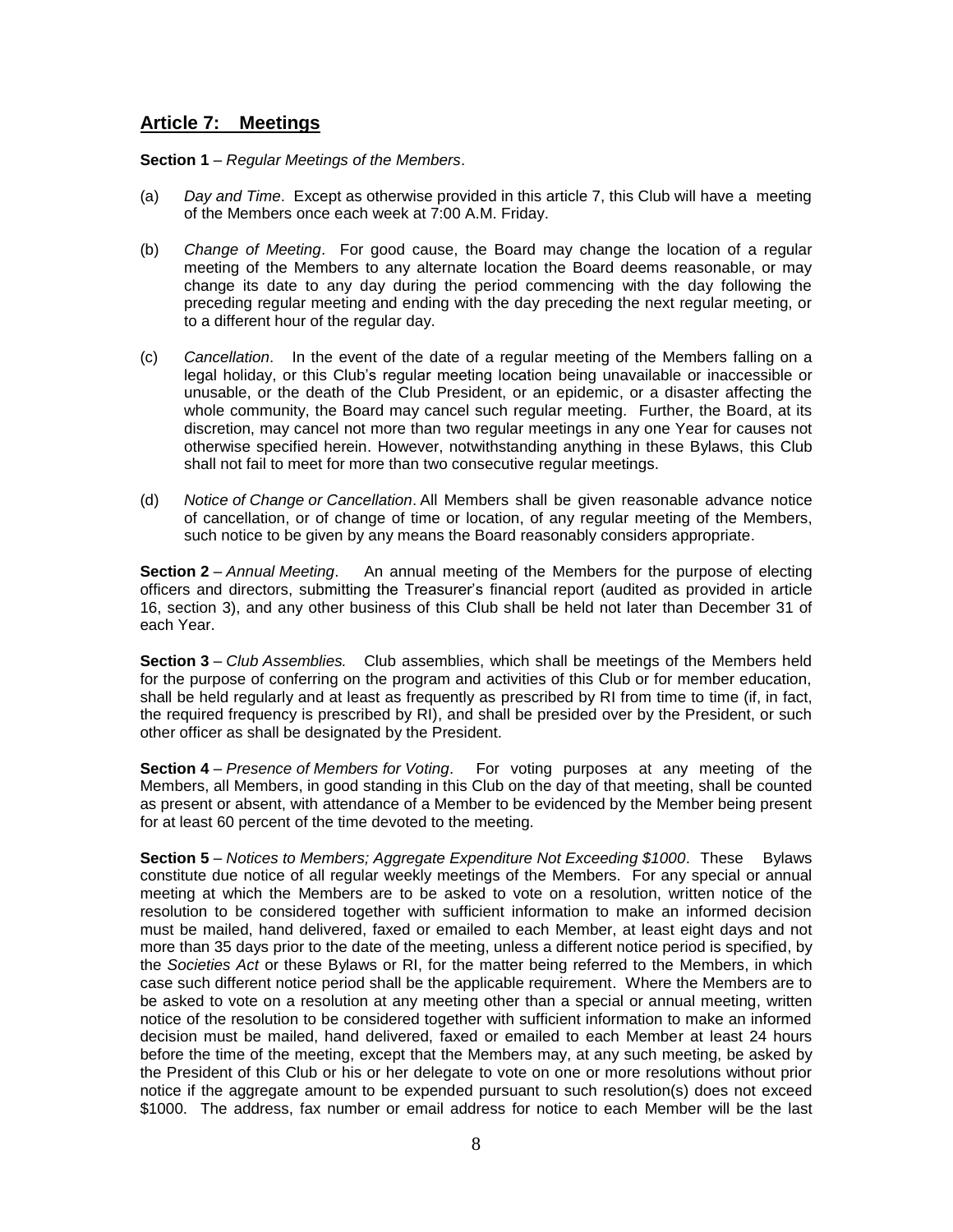#### **Article 7: Meetings**

**Section 1** – *Regular Meetings of the Members*.

- (a) *Day and Time*.Except as otherwise provided in this article 7, this Club will have a meeting of the Members once each week at 7:00 A.M. Friday.
- (b) *Change of Meeting*.For good cause, the Board may change the location of a regular meeting of the Members to any alternate location the Board deems reasonable, or may change its date to any day during the period commencing with the day following the preceding regular meeting and ending with the day preceding the next regular meeting, or to a different hour of the regular day.
- (c) *Cancellation*.In the event of the date of a regular meeting of the Members falling on a legal holiday, or this Club's regular meeting location being unavailable or inaccessible or unusable, or the death of the Club President, or an epidemic, or a disaster affecting the whole community, the Board may cancel such regular meeting. Further, the Board, at its discretion, may cancel not more than two regular meetings in any one Year for causes not otherwise specified herein. However, notwithstanding anything in these Bylaws, this Club shall not fail to meet for more than two consecutive regular meetings.
- (d) *Notice of Change or Cancellation*. All Members shall be given reasonable advance notice of cancellation, or of change of time or location, of any regular meeting of the Members, such notice to be given by any means the Board reasonably considers appropriate.

**Section 2** – *Annual Meeting*. An annual meeting of the Members for the purpose of electing officers and directors, submitting the Treasurer's financial report (audited as provided in article 16, section 3), and any other business of this Club shall be held not later than December 31 of each Year.

**Section 3** – *Club Assemblies.* Club assemblies, which shall be meetings of the Members held for the purpose of conferring on the program and activities of this Club or for member education, shall be held regularly and at least as frequently as prescribed by RI from time to time (if, in fact, the required frequency is prescribed by RI), and shall be presided over by the President, or such other officer as shall be designated by the President.

**Section 4** – *Presence of Members for Voting*. For voting purposes at any meeting of the Members, all Members, in good standing in this Club on the day of that meeting, shall be counted as present or absent, with attendance of a Member to be evidenced by the Member being present for at least 60 percent of the time devoted to the meeting.

**Section 5** – *Notices to Members; Aggregate Expenditure Not Exceeding \$1000*. These Bylaws constitute due notice of all regular weekly meetings of the Members. For any special or annual meeting at which the Members are to be asked to vote on a resolution, written notice of the resolution to be considered together with sufficient information to make an informed decision must be mailed, hand delivered, faxed or emailed to each Member, at least eight days and not more than 35 days prior to the date of the meeting, unless a different notice period is specified, by the *Societies Act* or these Bylaws or RI, for the matter being referred to the Members, in which case such different notice period shall be the applicable requirement. Where the Members are to be asked to vote on a resolution at any meeting other than a special or annual meeting, written notice of the resolution to be considered together with sufficient information to make an informed decision must be mailed, hand delivered, faxed or emailed to each Member at least 24 hours before the time of the meeting, except that the Members may, at any such meeting, be asked by the President of this Club or his or her delegate to vote on one or more resolutions without prior notice if the aggregate amount to be expended pursuant to such resolution(s) does not exceed \$1000. The address, fax number or email address for notice to each Member will be the last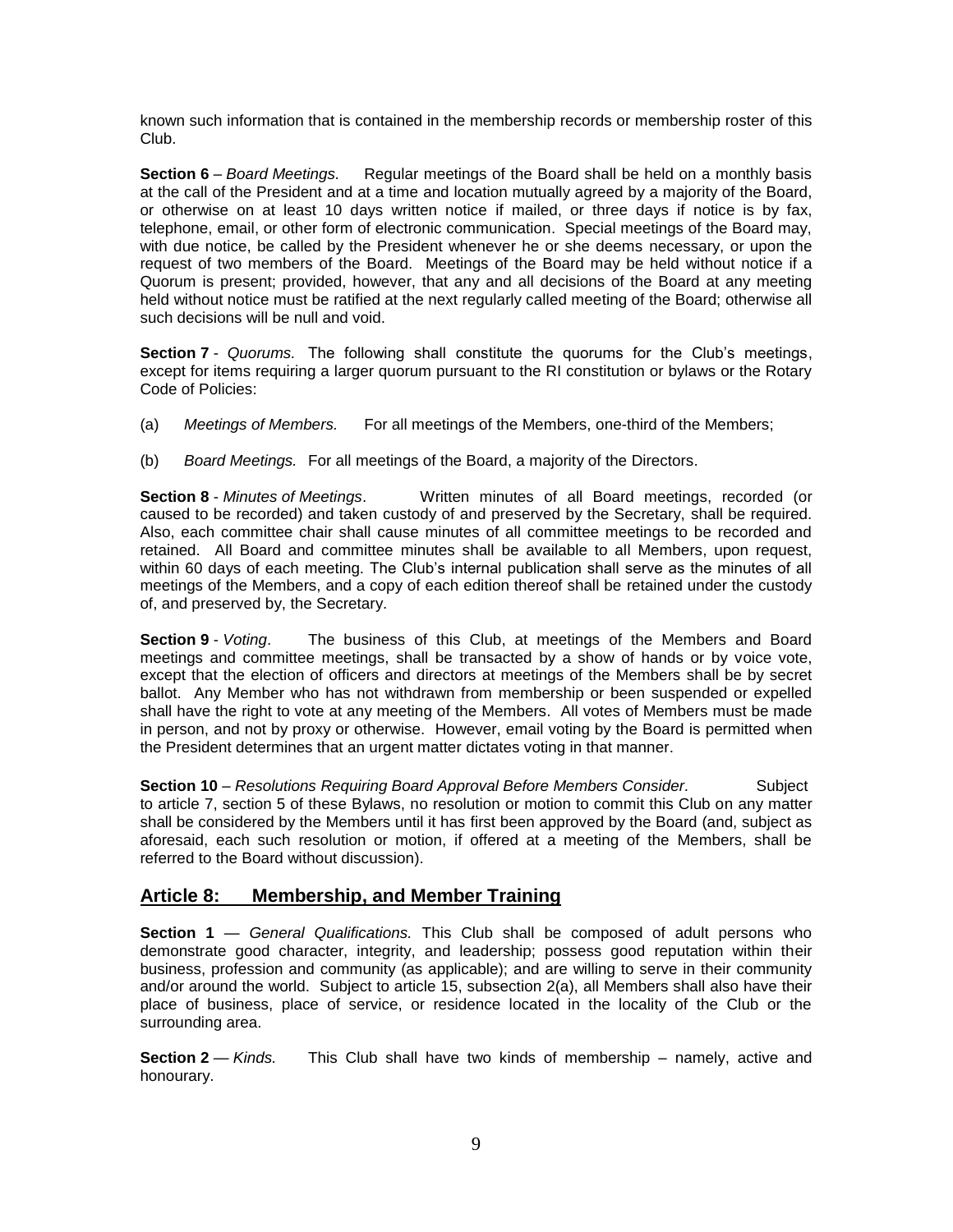known such information that is contained in the membership records or membership roster of this Club.

**Section 6** – *Board Meetings.* Regular meetings of the Board shall be held on a monthly basis at the call of the President and at a time and location mutually agreed by a majority of the Board, or otherwise on at least 10 days written notice if mailed, or three days if notice is by fax, telephone, email, or other form of electronic communication. Special meetings of the Board may, with due notice, be called by the President whenever he or she deems necessary, or upon the request of two members of the Board. Meetings of the Board may be held without notice if a Quorum is present; provided, however, that any and all decisions of the Board at any meeting held without notice must be ratified at the next regularly called meeting of the Board; otherwise all such decisions will be null and void.

**Section 7** -*Quorums.* The following shall constitute the quorums for the Club's meetings, except for items requiring a larger quorum pursuant to the RI constitution or bylaws or the Rotary Code of Policies:

- (a) *Meetings of Members.* For all meetings of the Members, one-third of the Members;
- (b) *Board Meetings.* For all meetings of the Board, a majority of the Directors.

**Section 8** - *Minutes of Meetings*. Written minutes of all Board meetings, recorded (or caused to be recorded) and taken custody of and preserved by the Secretary, shall be required. Also, each committee chair shall cause minutes of all committee meetings to be recorded and retained. All Board and committee minutes shall be available to all Members, upon request, within 60 days of each meeting. The Club's internal publication shall serve as the minutes of all meetings of the Members, and a copy of each edition thereof shall be retained under the custody of, and preserved by, the Secretary.

**Section 9** - *Voting*. The business of this Club, at meetings of the Members and Board meetings and committee meetings, shall be transacted by a show of hands or by voice vote, except that the election of officers and directors at meetings of the Members shall be by secret ballot. Any Member who has not withdrawn from membership or been suspended or expelled shall have the right to vote at any meeting of the Members. All votes of Members must be made in person, and not by proxy or otherwise. However, email voting by the Board is permitted when the President determines that an urgent matter dictates voting in that manner.

**Section 10** – *Resolutions Requiring Board Approval Before Members Consider.* Subject to article 7, section 5 of these Bylaws, no resolution or motion to commit this Club on any matter shall be considered by the Members until it has first been approved by the Board (and, subject as aforesaid, each such resolution or motion, if offered at a meeting of the Members, shall be referred to the Board without discussion).

#### **Article 8: Membership, and Member Training**

**Section 1** — *General Qualifications.* This Club shall be composed of adult persons who demonstrate good character, integrity, and leadership; possess good reputation within their business, profession and community (as applicable); and are willing to serve in their community and/or around the world. Subject to article 15, subsection 2(a), all Members shall also have their place of business, place of service, or residence located in the locality of the Club or the surrounding area.

**Section 2** — *Kinds.* This Club shall have two kinds of membership – namely, active and honourary.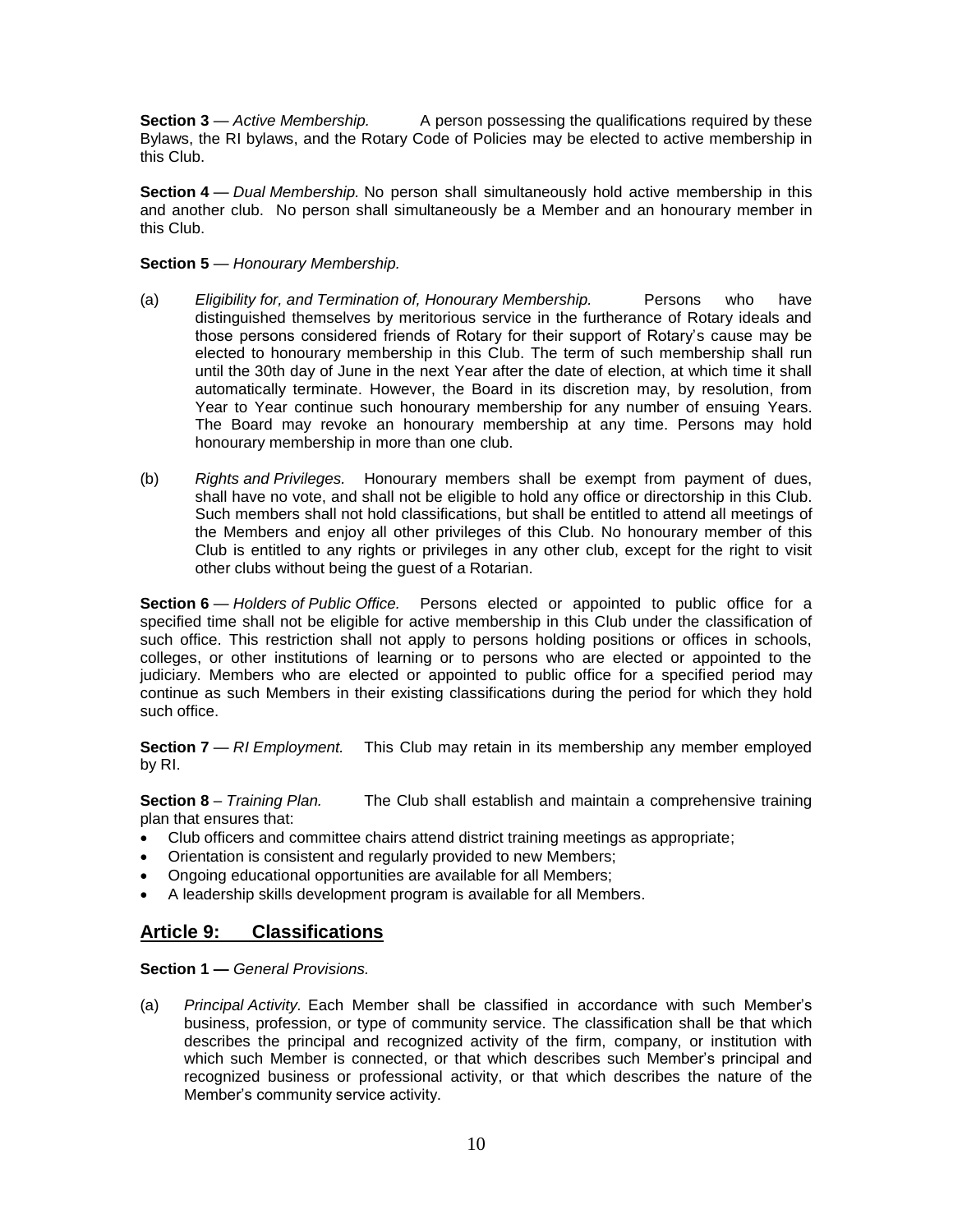**Section 3** — *Active Membership.* A person possessing the qualifications required by these Bylaws, the RI bylaws, and the Rotary Code of Policies may be elected to active membership in this Club.

**Section 4** — *Dual Membership.* No person shall simultaneously hold active membership in this and another club. No person shall simultaneously be a Member and an honourary member in this Club.

#### **Section 5** — *Honourary Membership.*

- (a) *Eligibility for, and Termination of, Honourary Membership.* Persons who have distinguished themselves by meritorious service in the furtherance of Rotary ideals and those persons considered friends of Rotary for their support of Rotary's cause may be elected to honourary membership in this Club. The term of such membership shall run until the 30th day of June in the next Year after the date of election, at which time it shall automatically terminate. However, the Board in its discretion may, by resolution, from Year to Year continue such honourary membership for any number of ensuing Years. The Board may revoke an honourary membership at any time. Persons may hold honourary membership in more than one club.
- (b) *Rights and Privileges.* Honourary members shall be exempt from payment of dues, shall have no vote, and shall not be eligible to hold any office or directorship in this Club. Such members shall not hold classifications, but shall be entitled to attend all meetings of the Members and enjoy all other privileges of this Club. No honourary member of this Club is entitled to any rights or privileges in any other club, except for the right to visit other clubs without being the guest of a Rotarian.

**Section 6** — *Holders of Public Office.* Persons elected or appointed to public office for a specified time shall not be eligible for active membership in this Club under the classification of such office. This restriction shall not apply to persons holding positions or offices in schools, colleges, or other institutions of learning or to persons who are elected or appointed to the judiciary. Members who are elected or appointed to public office for a specified period may continue as such Members in their existing classifications during the period for which they hold such office.

**Section 7** — *RI Employment.* This Club may retain in its membership any member employed by RI.

**Section 8** – *Training Plan.* The Club shall establish and maintain a comprehensive training plan that ensures that:

- Club officers and committee chairs attend district training meetings as appropriate;
- Orientation is consistent and regularly provided to new Members;
- Ongoing educational opportunities are available for all Members;
- A leadership skills development program is available for all Members.

#### **Article 9: Classifications**

**Section 1 —** *General Provisions.* 

(a) *Principal Activity.* Each Member shall be classified in accordance with such Member's business, profession, or type of community service. The classification shall be that which describes the principal and recognized activity of the firm, company, or institution with which such Member is connected, or that which describes such Member's principal and recognized business or professional activity, or that which describes the nature of the Member's community service activity.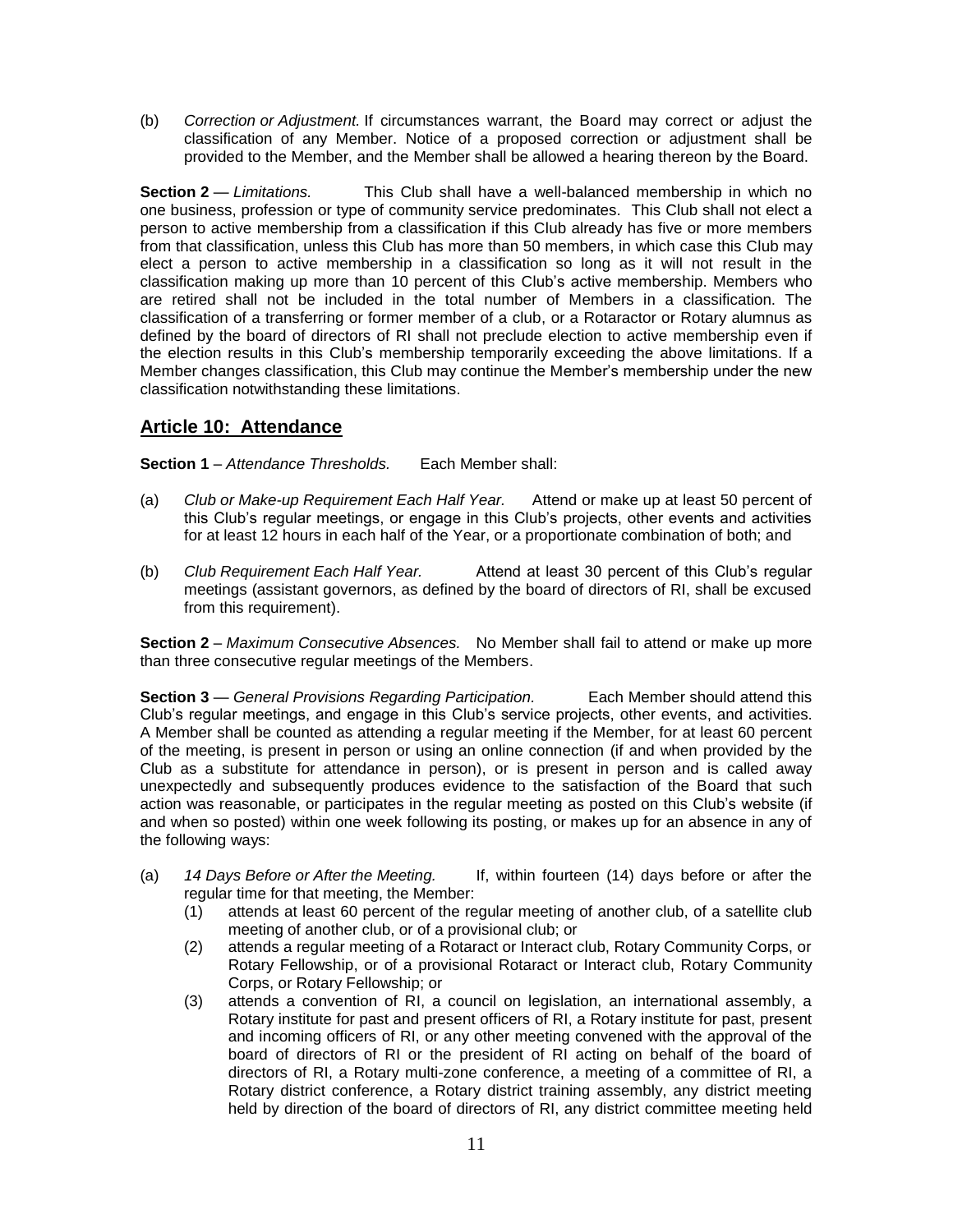(b) *Correction or Adjustment.* If circumstances warrant, the Board may correct or adjust the classification of any Member. Notice of a proposed correction or adjustment shall be provided to the Member, and the Member shall be allowed a hearing thereon by the Board.

**Section 2** — *Limitations.* This Club shall have a well-balanced membership in which no one business, profession or type of community service predominates. This Club shall not elect a person to active membership from a classification if this Club already has five or more members from that classification, unless this Club has more than 50 members, in which case this Club may elect a person to active membership in a classification so long as it will not result in the classification making up more than 10 percent of this Club's active membership. Members who are retired shall not be included in the total number of Members in a classification. The classification of a transferring or former member of a club, or a Rotaractor or Rotary alumnus as defined by the board of directors of RI shall not preclude election to active membership even if the election results in this Club's membership temporarily exceeding the above limitations. If a Member changes classification, this Club may continue the Member's membership under the new classification notwithstanding these limitations.

## **Article 10: Attendance**

**Section 1** – *Attendance Thresholds.* Each Member shall:

- (a) *Club or Make-up Requirement Each Half Year.* Attend or make up at least 50 percent of this Club's regular meetings, or engage in this Club's projects, other events and activities for at least 12 hours in each half of the Year, or a proportionate combination of both; and
- (b) *Club Requirement Each Half Year.* Attend at least 30 percent of this Club's regular meetings (assistant governors, as defined by the board of directors of RI, shall be excused from this requirement).

**Section 2** – *Maximum Consecutive Absences.* No Member shall fail to attend or make up more than three consecutive regular meetings of the Members.

**Section 3** — *General Provisions Regarding Participation.* Each Member should attend this Club's regular meetings, and engage in this Club's service projects, other events, and activities. A Member shall be counted as attending a regular meeting if the Member, for at least 60 percent of the meeting, is present in person or using an online connection (if and when provided by the Club as a substitute for attendance in person), or is present in person and is called away unexpectedly and subsequently produces evidence to the satisfaction of the Board that such action was reasonable, or participates in the regular meeting as posted on this Club's website (if and when so posted) within one week following its posting, or makes up for an absence in any of the following ways:

- (a) *14 Days Before or After the Meeting.* If, within fourteen (14) days before or after the regular time for that meeting, the Member:
	- (1) attends at least 60 percent of the regular meeting of another club, of a satellite club meeting of another club, or of a provisional club; or
	- (2) attends a regular meeting of a Rotaract or Interact club, Rotary Community Corps, or Rotary Fellowship, or of a provisional Rotaract or Interact club, Rotary Community Corps, or Rotary Fellowship; or
	- (3) attends a convention of RI, a council on legislation, an international assembly, a Rotary institute for past and present officers of RI, a Rotary institute for past, present and incoming officers of RI, or any other meeting convened with the approval of the board of directors of RI or the president of RI acting on behalf of the board of directors of RI, a Rotary multi-zone conference, a meeting of a committee of RI, a Rotary district conference, a Rotary district training assembly, any district meeting held by direction of the board of directors of RI, any district committee meeting held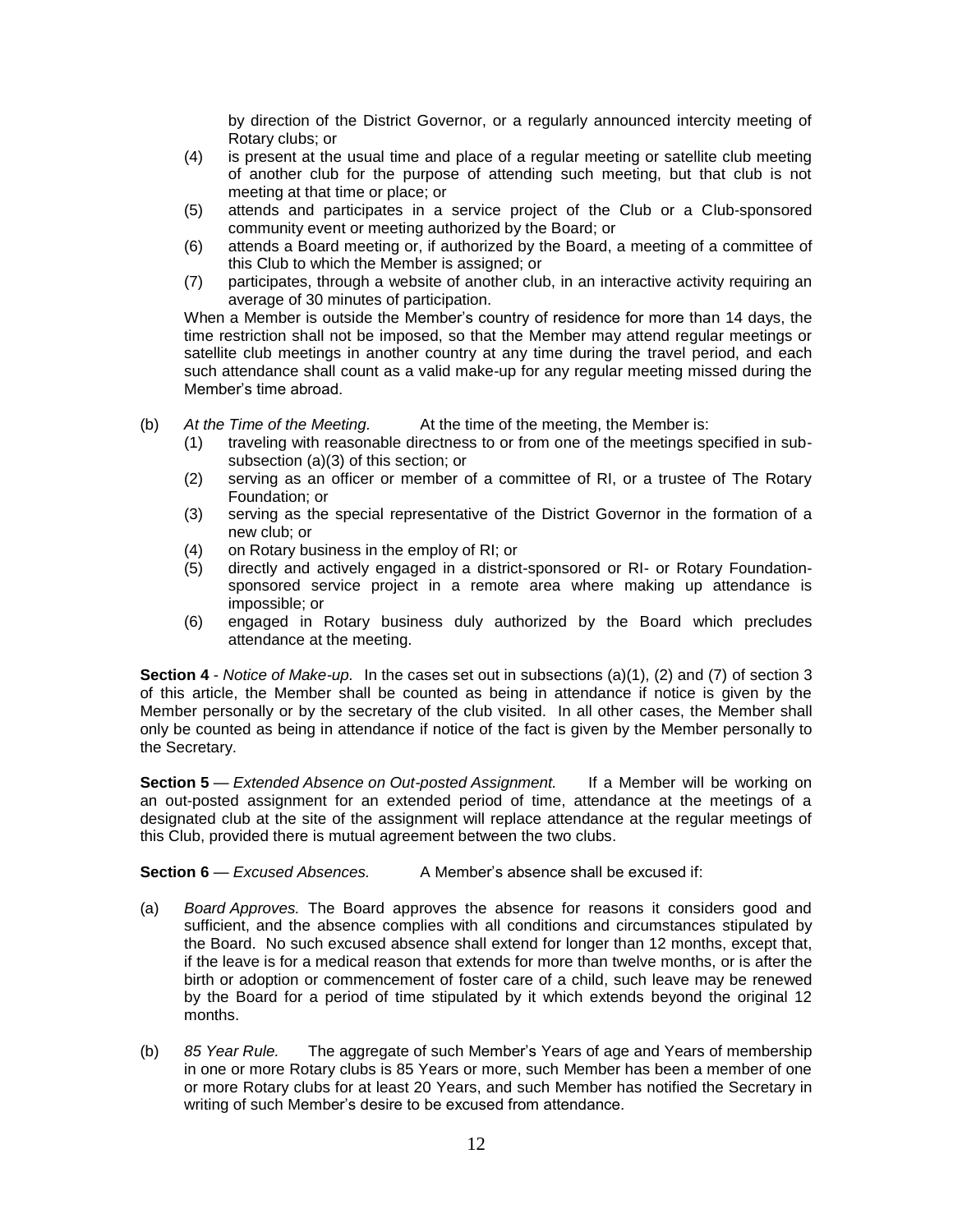by direction of the District Governor, or a regularly announced intercity meeting of Rotary clubs; or

- (4) is present at the usual time and place of a regular meeting or satellite club meeting of another club for the purpose of attending such meeting, but that club is not meeting at that time or place; or
- (5) attends and participates in a service project of the Club or a Club-sponsored community event or meeting authorized by the Board; or
- (6) attends a Board meeting or, if authorized by the Board, a meeting of a committee of this Club to which the Member is assigned; or
- (7) participates, through a website of another club, in an interactive activity requiring an average of 30 minutes of participation.

When a Member is outside the Member's country of residence for more than 14 days, the time restriction shall not be imposed, so that the Member may attend regular meetings or satellite club meetings in another country at any time during the travel period, and each such attendance shall count as a valid make-up for any regular meeting missed during the Member's time abroad.

- (b) *At the Time of the Meeting.* At the time of the meeting, the Member is:
	- (1) traveling with reasonable directness to or from one of the meetings specified in subsubsection (a)(3) of this section; or
	- (2) serving as an officer or member of a committee of RI, or a trustee of The Rotary Foundation; or
	- (3) serving as the special representative of the District Governor in the formation of a new club; or
	- (4) on Rotary business in the employ of RI; or
	- (5) directly and actively engaged in a district-sponsored or RI- or Rotary Foundationsponsored service project in a remote area where making up attendance is impossible; or
	- (6) engaged in Rotary business duly authorized by the Board which precludes attendance at the meeting.

**Section 4** - *Notice of Make-up.* In the cases set out in subsections (a)(1), (2) and (7) of section 3 of this article, the Member shall be counted as being in attendance if notice is given by the Member personally or by the secretary of the club visited. In all other cases, the Member shall only be counted as being in attendance if notice of the fact is given by the Member personally to the Secretary.

**Section 5** — *Extended Absence on Out-posted Assignment.* If a Member will be working on an out-posted assignment for an extended period of time, attendance at the meetings of a designated club at the site of the assignment will replace attendance at the regular meetings of this Club, provided there is mutual agreement between the two clubs.

**Section 6** — *Excused Absences.* A Member's absence shall be excused if:

- (a) *Board Approves.* The Board approves the absence for reasons it considers good and sufficient, and the absence complies with all conditions and circumstances stipulated by the Board. No such excused absence shall extend for longer than 12 months, except that, if the leave is for a medical reason that extends for more than twelve months, or is after the birth or adoption or commencement of foster care of a child, such leave may be renewed by the Board for a period of time stipulated by it which extends beyond the original 12 months.
- (b) *85 Year Rule.* The aggregate of such Member's Years of age and Years of membership in one or more Rotary clubs is 85 Years or more, such Member has been a member of one or more Rotary clubs for at least 20 Years, and such Member has notified the Secretary in writing of such Member's desire to be excused from attendance.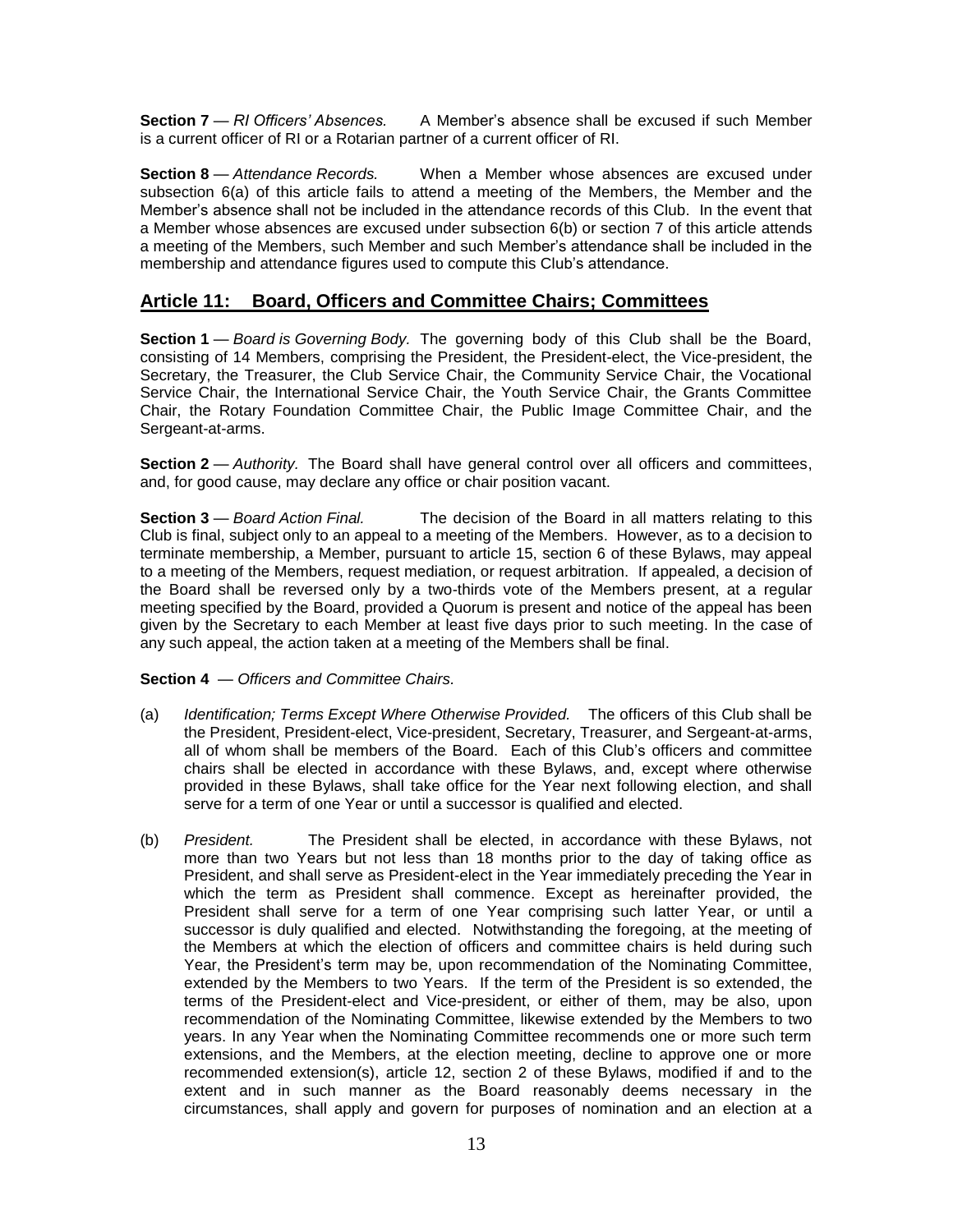**Section 7** — *RI Officers' Absences.* A Member's absence shall be excused if such Member is a current officer of RI or a Rotarian partner of a current officer of RI.

**Section 8** — *Attendance Records.* When a Member whose absences are excused under subsection 6(a) of this article fails to attend a meeting of the Members, the Member and the Member's absence shall not be included in the attendance records of this Club. In the event that a Member whose absences are excused under subsection 6(b) or section 7 of this article attends a meeting of the Members, such Member and such Member's attendance shall be included in the membership and attendance figures used to compute this Club's attendance.

## **Article 11: Board, Officers and Committee Chairs; Committees**

**Section 1** — *Board is Governing Body.* The governing body of this Club shall be the Board, consisting of 14 Members, comprising the President, the President-elect, the Vice-president, the Secretary, the Treasurer, the Club Service Chair, the Community Service Chair, the Vocational Service Chair, the International Service Chair, the Youth Service Chair, the Grants Committee Chair, the Rotary Foundation Committee Chair, the Public Image Committee Chair, and the Sergeant-at-arms.

**Section 2** — *Authority*. The Board shall have general control over all officers and committees, and, for good cause, may declare any office or chair position vacant.

**Section 3** — *Board Action Final.* The decision of the Board in all matters relating to this Club is final, subject only to an appeal to a meeting of the Members. However, as to a decision to terminate membership, a Member, pursuant to article 15, section 6 of these Bylaws, may appeal to a meeting of the Members, request mediation, or request arbitration. If appealed, a decision of the Board shall be reversed only by a two-thirds vote of the Members present, at a regular meeting specified by the Board, provided a Quorum is present and notice of the appeal has been given by the Secretary to each Member at least five days prior to such meeting. In the case of any such appeal, the action taken at a meeting of the Members shall be final.

#### **Section 4** — *Officers and Committee Chairs.*

- (a) *Identification; Terms Except Where Otherwise Provided.* The officers of this Club shall be the President, President-elect, Vice-president, Secretary, Treasurer, and Sergeant-at-arms, all of whom shall be members of the Board. Each of this Club's officers and committee chairs shall be elected in accordance with these Bylaws, and, except where otherwise provided in these Bylaws, shall take office for the Year next following election, and shall serve for a term of one Year or until a successor is qualified and elected.
- (b) *President.* The President shall be elected, in accordance with these Bylaws, not more than two Years but not less than 18 months prior to the day of taking office as President, and shall serve as President-elect in the Year immediately preceding the Year in which the term as President shall commence. Except as hereinafter provided, the President shall serve for a term of one Year comprising such latter Year, or until a successor is duly qualified and elected. Notwithstanding the foregoing, at the meeting of the Members at which the election of officers and committee chairs is held during such Year, the President's term may be, upon recommendation of the Nominating Committee, extended by the Members to two Years. If the term of the President is so extended, the terms of the President-elect and Vice-president, or either of them, may be also, upon recommendation of the Nominating Committee, likewise extended by the Members to two years. In any Year when the Nominating Committee recommends one or more such term extensions, and the Members, at the election meeting, decline to approve one or more recommended extension(s), article 12, section 2 of these Bylaws, modified if and to the extent and in such manner as the Board reasonably deems necessary in the circumstances, shall apply and govern for purposes of nomination and an election at a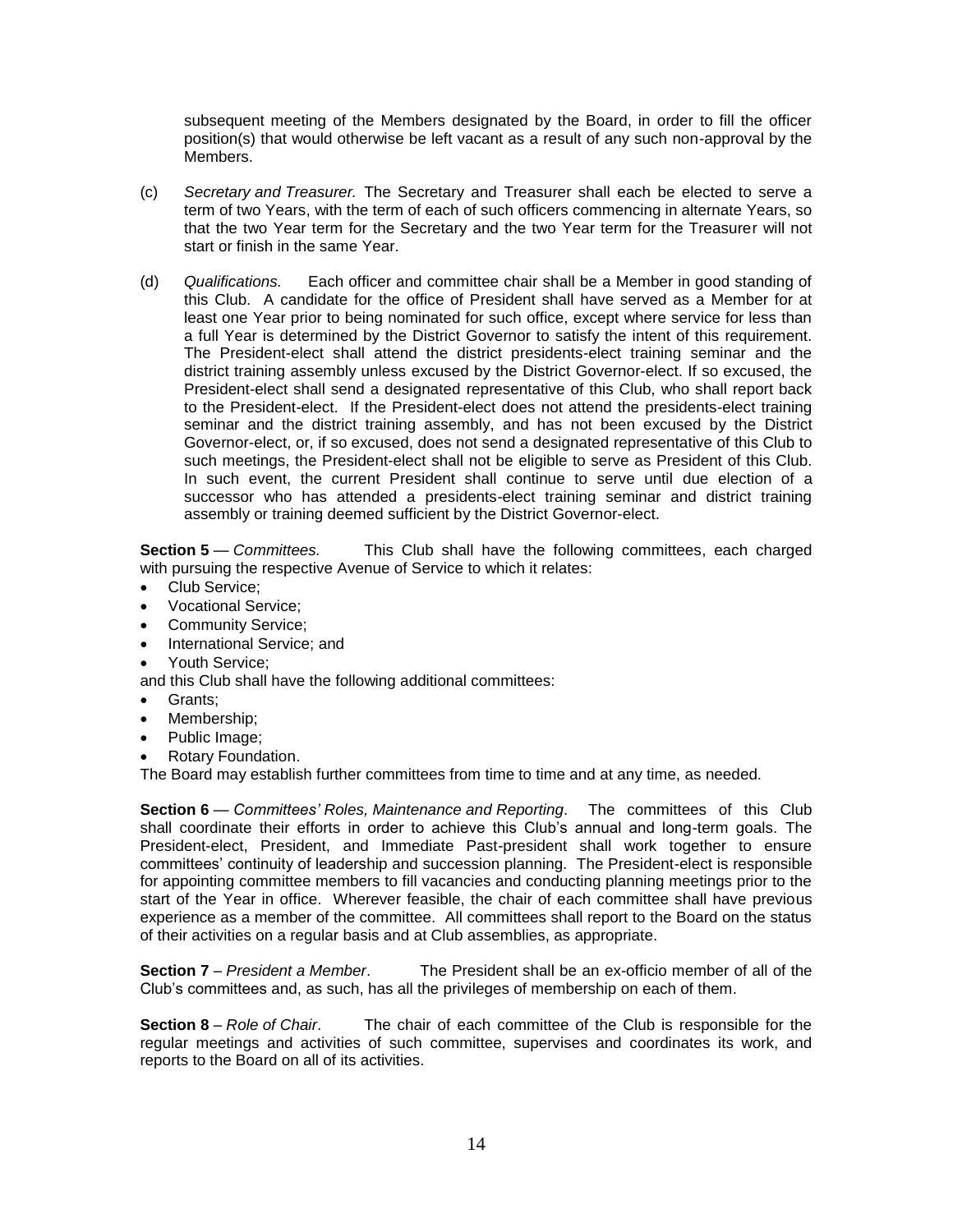subsequent meeting of the Members designated by the Board, in order to fill the officer position(s) that would otherwise be left vacant as a result of any such non-approval by the Members.

- (c) *Secretary and Treasurer.* The Secretary and Treasurer shall each be elected to serve a term of two Years, with the term of each of such officers commencing in alternate Years, so that the two Year term for the Secretary and the two Year term for the Treasurer will not start or finish in the same Year.
- (d) *Qualifications.* Each officer and committee chair shall be a Member in good standing of this Club. A candidate for the office of President shall have served as a Member for at least one Year prior to being nominated for such office, except where service for less than a full Year is determined by the District Governor to satisfy the intent of this requirement. The President-elect shall attend the district presidents-elect training seminar and the district training assembly unless excused by the District Governor-elect. If so excused, the President-elect shall send a designated representative of this Club, who shall report back to the President-elect. If the President-elect does not attend the presidents-elect training seminar and the district training assembly, and has not been excused by the District Governor-elect, or, if so excused, does not send a designated representative of this Club to such meetings, the President-elect shall not be eligible to serve as President of this Club. In such event, the current President shall continue to serve until due election of a successor who has attended a presidents-elect training seminar and district training assembly or training deemed sufficient by the District Governor-elect.

**Section 5** — *Committees.* This Club shall have the following committees, each charged with pursuing the respective Avenue of Service to which it relates:

- Club Service;
- Vocational Service;
- Community Service;
- International Service; and
- Youth Service;

and this Club shall have the following additional committees:

- Grants;
- Membership;
- Public Image;
- Rotary Foundation.

The Board may establish further committees from time to time and at any time, as needed.

**Section 6** — *Committees' Roles, Maintenance and Reporting*. The committees of this Club shall coordinate their efforts in order to achieve this Club's annual and long-term goals. The President-elect, President, and Immediate Past-president shall work together to ensure committees' continuity of leadership and succession planning. The President-elect is responsible for appointing committee members to fill vacancies and conducting planning meetings prior to the start of the Year in office. Wherever feasible, the chair of each committee shall have previous experience as a member of the committee. All committees shall report to the Board on the status of their activities on a regular basis and at Club assemblies, as appropriate.

**Section 7** – *President a Member*. The President shall be an ex-officio member of all of the Club's committees and, as such, has all the privileges of membership on each of them.

**Section 8** – *Role of Chair*. The chair of each committee of the Club is responsible for the regular meetings and activities of such committee, supervises and coordinates its work, and reports to the Board on all of its activities.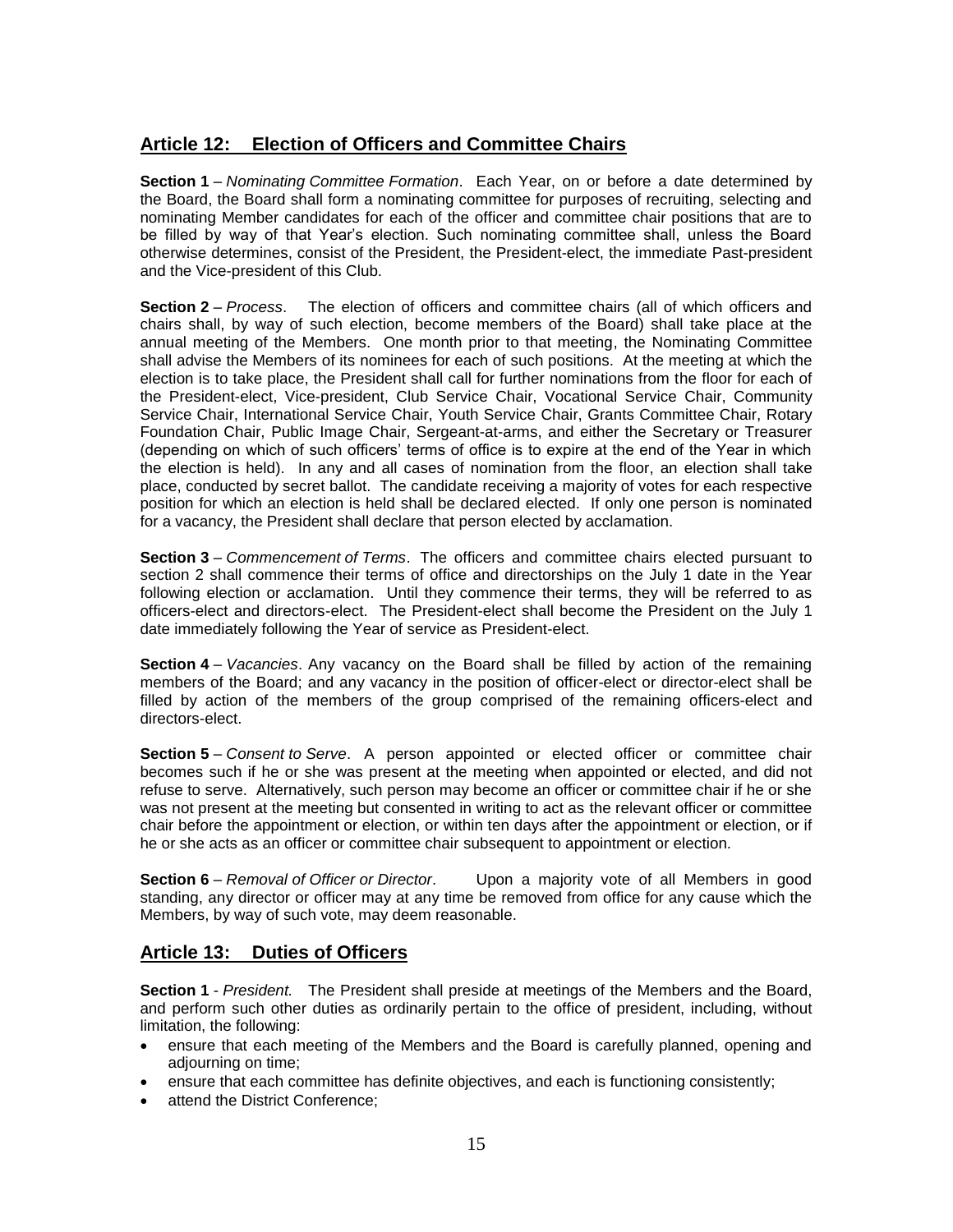## **Article 12: Election of Officers and Committee Chairs**

**Section 1** – *Nominating Committee Formation*. Each Year, on or before a date determined by the Board, the Board shall form a nominating committee for purposes of recruiting, selecting and nominating Member candidates for each of the officer and committee chair positions that are to be filled by way of that Year's election. Such nominating committee shall, unless the Board otherwise determines, consist of the President, the President-elect, the immediate Past-president and the Vice-president of this Club.

**Section 2** – *Process*. The election of officers and committee chairs (all of which officers and chairs shall, by way of such election, become members of the Board) shall take place at the annual meeting of the Members. One month prior to that meeting, the Nominating Committee shall advise the Members of its nominees for each of such positions. At the meeting at which the election is to take place, the President shall call for further nominations from the floor for each of the President-elect, Vice-president, Club Service Chair, Vocational Service Chair, Community Service Chair, International Service Chair, Youth Service Chair, Grants Committee Chair, Rotary Foundation Chair, Public Image Chair, Sergeant-at-arms, and either the Secretary or Treasurer (depending on which of such officers' terms of office is to expire at the end of the Year in which the election is held). In any and all cases of nomination from the floor, an election shall take place, conducted by secret ballot. The candidate receiving a majority of votes for each respective position for which an election is held shall be declared elected. If only one person is nominated for a vacancy, the President shall declare that person elected by acclamation.

**Section 3** – *Commencement of Terms*. The officers and committee chairs elected pursuant to section 2 shall commence their terms of office and directorships on the July 1 date in the Year following election or acclamation. Until they commence their terms, they will be referred to as officers-elect and directors-elect. The President-elect shall become the President on the July 1 date immediately following the Year of service as President-elect.

**Section 4** – *Vacancies*. Any vacancy on the Board shall be filled by action of the remaining members of the Board; and any vacancy in the position of officer-elect or director-elect shall be filled by action of the members of the group comprised of the remaining officers-elect and directors-elect.

**Section 5** – *Consent to Serve*. A person appointed or elected officer or committee chair becomes such if he or she was present at the meeting when appointed or elected, and did not refuse to serve. Alternatively, such person may become an officer or committee chair if he or she was not present at the meeting but consented in writing to act as the relevant officer or committee chair before the appointment or election, or within ten days after the appointment or election, or if he or she acts as an officer or committee chair subsequent to appointment or election.

**Section 6** – *Removal of Officer or Director*. Upon a majority vote of all Members in good standing, any director or officer may at any time be removed from office for any cause which the Members, by way of such vote, may deem reasonable.

## **Article 13: Duties of Officers**

**Section 1** - *President.* The President shall preside at meetings of the Members and the Board, and perform such other duties as ordinarily pertain to the office of president, including, without limitation, the following:

- ensure that each meeting of the Members and the Board is carefully planned, opening and adjourning on time;
- ensure that each committee has definite objectives, and each is functioning consistently;
- attend the District Conference: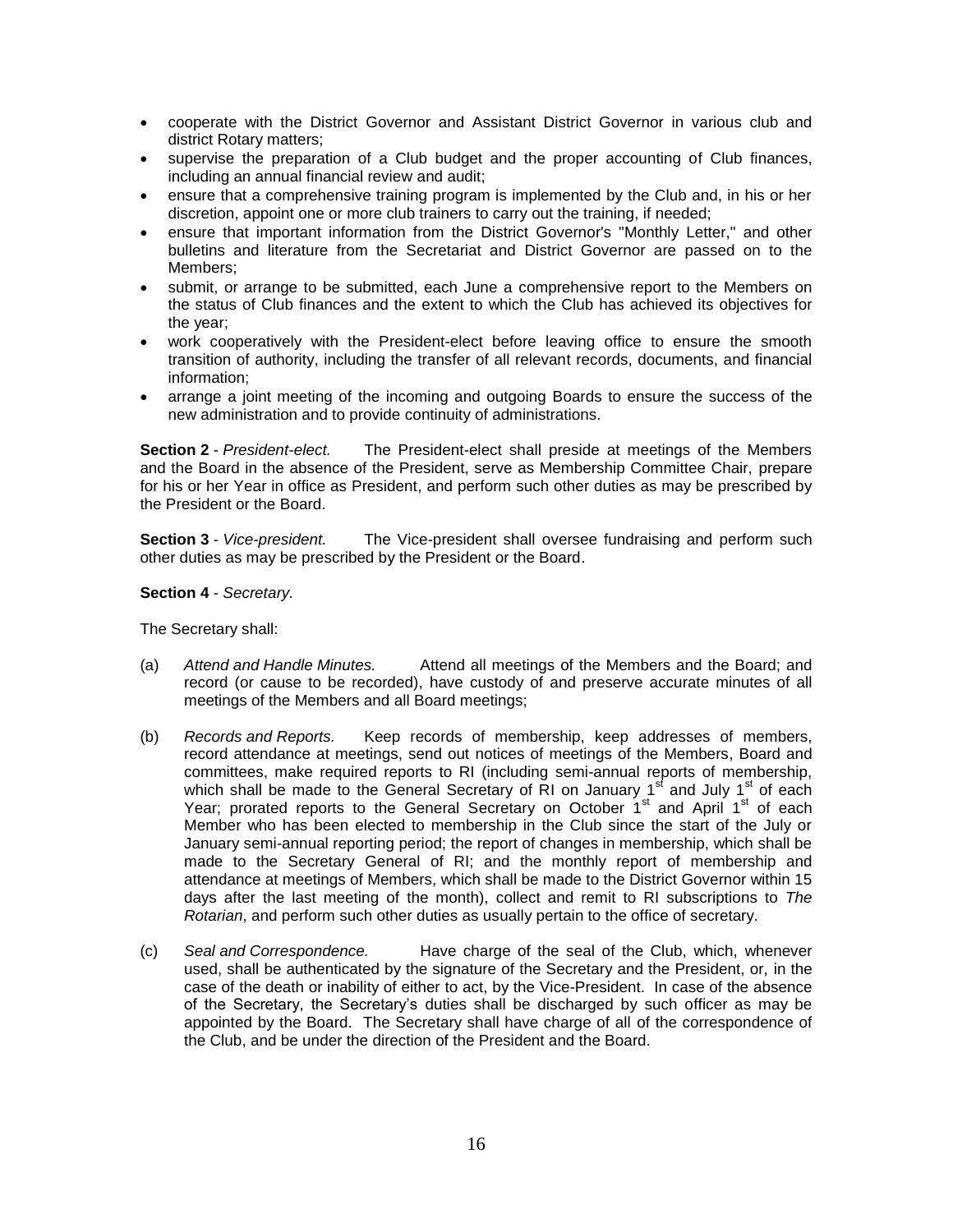- cooperate with the District Governor and Assistant District Governor in various club and district Rotary matters;
- supervise the preparation of a Club budget and the proper accounting of Club finances, including an annual financial review and audit;
- ensure that a comprehensive training program is implemented by the Club and, in his or her discretion, appoint one or more club trainers to carry out the training, if needed;
- ensure that important information from the District Governor's "Monthly Letter," and other bulletins and literature from the Secretariat and District Governor are passed on to the Members;
- submit, or arrange to be submitted, each June a comprehensive report to the Members on the status of Club finances and the extent to which the Club has achieved its objectives for the year;
- work cooperatively with the President-elect before leaving office to ensure the smooth transition of authority, including the transfer of all relevant records, documents, and financial information;
- arrange a joint meeting of the incoming and outgoing Boards to ensure the success of the new administration and to provide continuity of administrations.

**Section 2** - *President-elect.* The President-elect shall preside at meetings of the Members and the Board in the absence of the President, serve as Membership Committee Chair, prepare for his or her Year in office as President, and perform such other duties as may be prescribed by the President or the Board.

**Section 3** - *Vice-president.* The Vice-president shall oversee fundraising and perform such other duties as may be prescribed by the President or the Board.

**Section 4** - *Secretary.*

The Secretary shall:

- (a) *Attend and Handle Minutes.* Attend all meetings of the Members and the Board; and record (or cause to be recorded), have custody of and preserve accurate minutes of all meetings of the Members and all Board meetings;
- (b) *Records and Reports.* Keep records of membership, keep addresses of members, record attendance at meetings, send out notices of meetings of the Members, Board and committees, make required reports to RI (including semi-annual reports of membership, which shall be made to the General Secretary of RI on January 1<sup>st</sup> and July 1<sup>st</sup> of each Year; prorated reports to the General Secretary on October 1<sup>st</sup> and April 1<sup>st</sup> of each Member who has been elected to membership in the Club since the start of the July or January semi-annual reporting period; the report of changes in membership, which shall be made to the Secretary General of RI; and the monthly report of membership and attendance at meetings of Members, which shall be made to the District Governor within 15 days after the last meeting of the month), collect and remit to RI subscriptions to *The Rotarian*, and perform such other duties as usually pertain to the office of secretary.
- (c) *Seal and Correspondence.* Have charge of the seal of the Club, which, whenever used, shall be authenticated by the signature of the Secretary and the President, or, in the case of the death or inability of either to act, by the Vice-President. In case of the absence of the Secretary, the Secretary's duties shall be discharged by such officer as may be appointed by the Board. The Secretary shall have charge of all of the correspondence of the Club, and be under the direction of the President and the Board.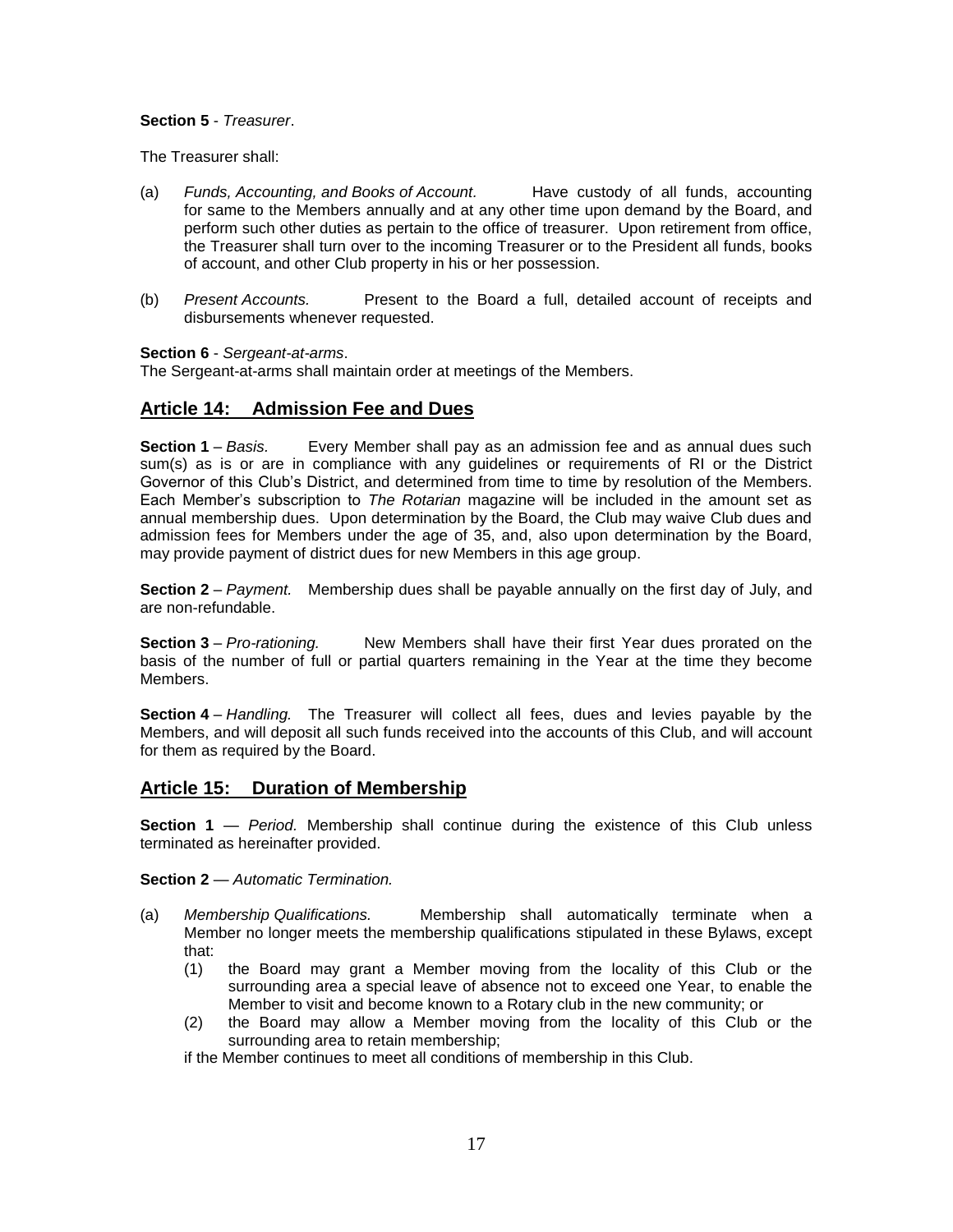#### **Section 5** - *Treasurer*.

The Treasurer shall:

- (a) *Funds, Accounting, and Books of Account.* Have custody of all funds, accounting for same to the Members annually and at any other time upon demand by the Board, and perform such other duties as pertain to the office of treasurer. Upon retirement from office, the Treasurer shall turn over to the incoming Treasurer or to the President all funds, books of account, and other Club property in his or her possession.
- (b) *Present Accounts.* Present to the Board a full, detailed account of receipts and disbursements whenever requested.

#### **Section 6** - *Sergeant-at-arms*.

The Sergeant-at-arms shall maintain order at meetings of the Members.

#### **Article 14: Admission Fee and Dues**

**Section 1** – *Basis.* Every Member shall pay as an admission fee and as annual dues such sum(s) as is or are in compliance with any guidelines or requirements of RI or the District Governor of this Club's District, and determined from time to time by resolution of the Members. Each Member's subscription to *The Rotarian* magazine will be included in the amount set as annual membership dues. Upon determination by the Board, the Club may waive Club dues and admission fees for Members under the age of 35, and, also upon determination by the Board, may provide payment of district dues for new Members in this age group.

**Section 2** – *Payment.* Membership dues shall be payable annually on the first day of July, and are non-refundable.

**Section 3** – *Pro-rationing.* New Members shall have their first Year dues prorated on the basis of the number of full or partial quarters remaining in the Year at the time they become Members.

**Section 4** – *Handling.* The Treasurer will collect all fees, dues and levies payable by the Members, and will deposit all such funds received into the accounts of this Club, and will account for them as required by the Board.

#### **Article 15: Duration of Membership**

**Section 1** — *Period.* Membership shall continue during the existence of this Club unless terminated as hereinafter provided.

**Section 2** — *Automatic Termination.* 

- (a) *Membership Qualifications.* Membership shall automatically terminate when a Member no longer meets the membership qualifications stipulated in these Bylaws, except that:
	- (1) the Board may grant a Member moving from the locality of this Club or the surrounding area a special leave of absence not to exceed one Year, to enable the Member to visit and become known to a Rotary club in the new community; or
	- (2) the Board may allow a Member moving from the locality of this Club or the surrounding area to retain membership;

if the Member continues to meet all conditions of membership in this Club.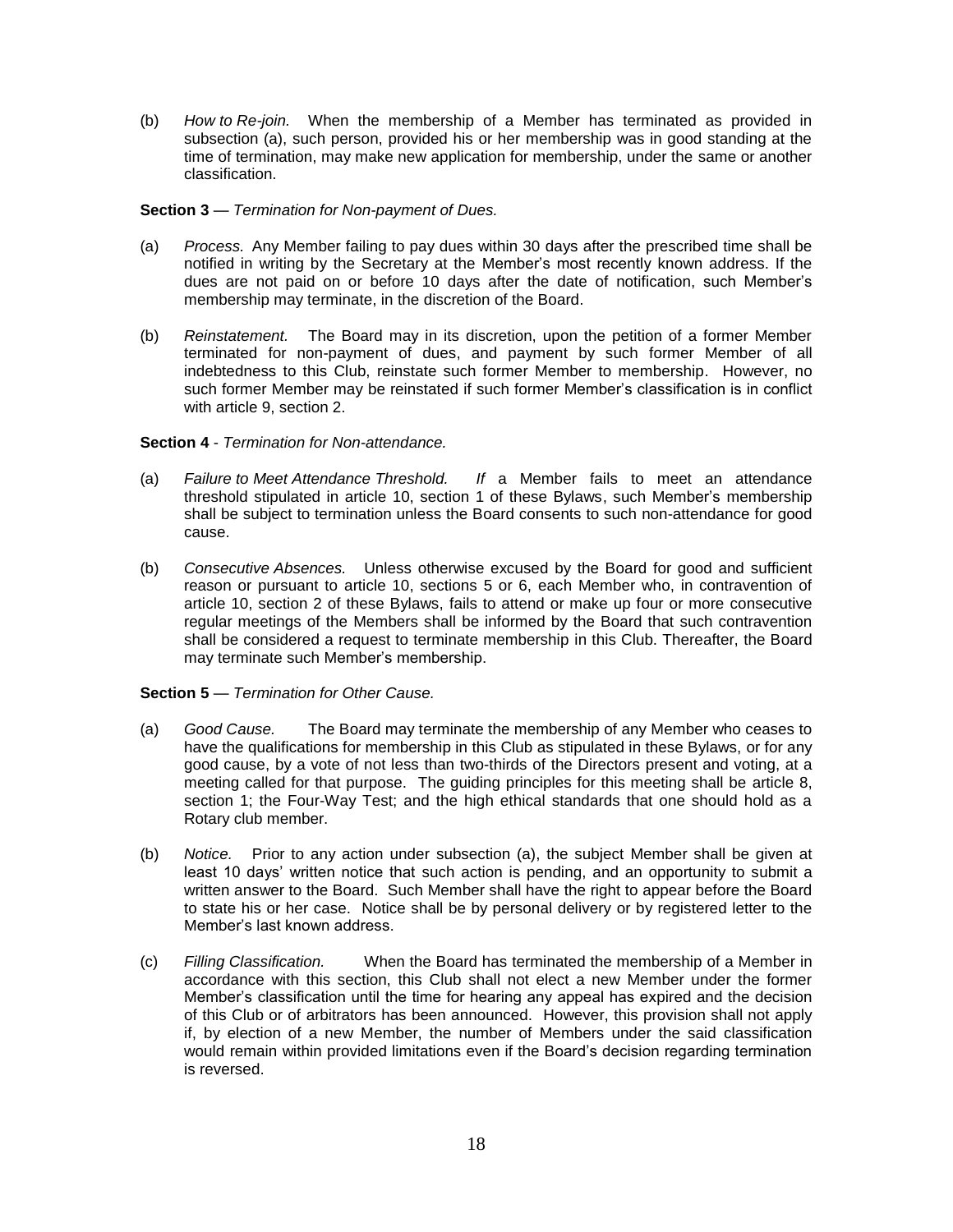(b) *How to Re-join.* When the membership of a Member has terminated as provided in subsection (a), such person, provided his or her membership was in good standing at the time of termination, may make new application for membership, under the same or another classification.

#### **Section 3** — *Termination for Non-payment of Dues.*

- (a) *Process.* Any Member failing to pay dues within 30 days after the prescribed time shall be notified in writing by the Secretary at the Member's most recently known address. If the dues are not paid on or before 10 days after the date of notification, such Member's membership may terminate, in the discretion of the Board.
- (b) *Reinstatement.* The Board may in its discretion, upon the petition of a former Member terminated for non-payment of dues, and payment by such former Member of all indebtedness to this Club, reinstate such former Member to membership. However, no such former Member may be reinstated if such former Member's classification is in conflict with article 9, section 2.

#### **Section 4** - *Termination for Non-attendance.*

- (a) *Failure to Meet Attendance Threshold. If* a Member fails to meet an attendance threshold stipulated in article 10, section 1 of these Bylaws, such Member's membership shall be subject to termination unless the Board consents to such non-attendance for good cause.
- (b) *Consecutive Absences.* Unless otherwise excused by the Board for good and sufficient reason or pursuant to article 10, sections 5 or 6, each Member who, in contravention of article 10, section 2 of these Bylaws, fails to attend or make up four or more consecutive regular meetings of the Members shall be informed by the Board that such contravention shall be considered a request to terminate membership in this Club. Thereafter, the Board may terminate such Member's membership.

#### **Section 5** — *Termination for Other Cause.*

- (a) *Good Cause.* The Board may terminate the membership of any Member who ceases to have the qualifications for membership in this Club as stipulated in these Bylaws, or for any good cause, by a vote of not less than two-thirds of the Directors present and voting, at a meeting called for that purpose. The guiding principles for this meeting shall be article 8, section 1; the Four-Way Test; and the high ethical standards that one should hold as a Rotary club member.
- (b) *Notice.* Prior to any action under subsection (a), the subject Member shall be given at least 10 days' written notice that such action is pending, and an opportunity to submit a written answer to the Board. Such Member shall have the right to appear before the Board to state his or her case. Notice shall be by personal delivery or by registered letter to the Member's last known address.
- (c) *Filling Classification.* When the Board has terminated the membership of a Member in accordance with this section, this Club shall not elect a new Member under the former Member's classification until the time for hearing any appeal has expired and the decision of this Club or of arbitrators has been announced. However, this provision shall not apply if, by election of a new Member, the number of Members under the said classification would remain within provided limitations even if the Board's decision regarding termination is reversed.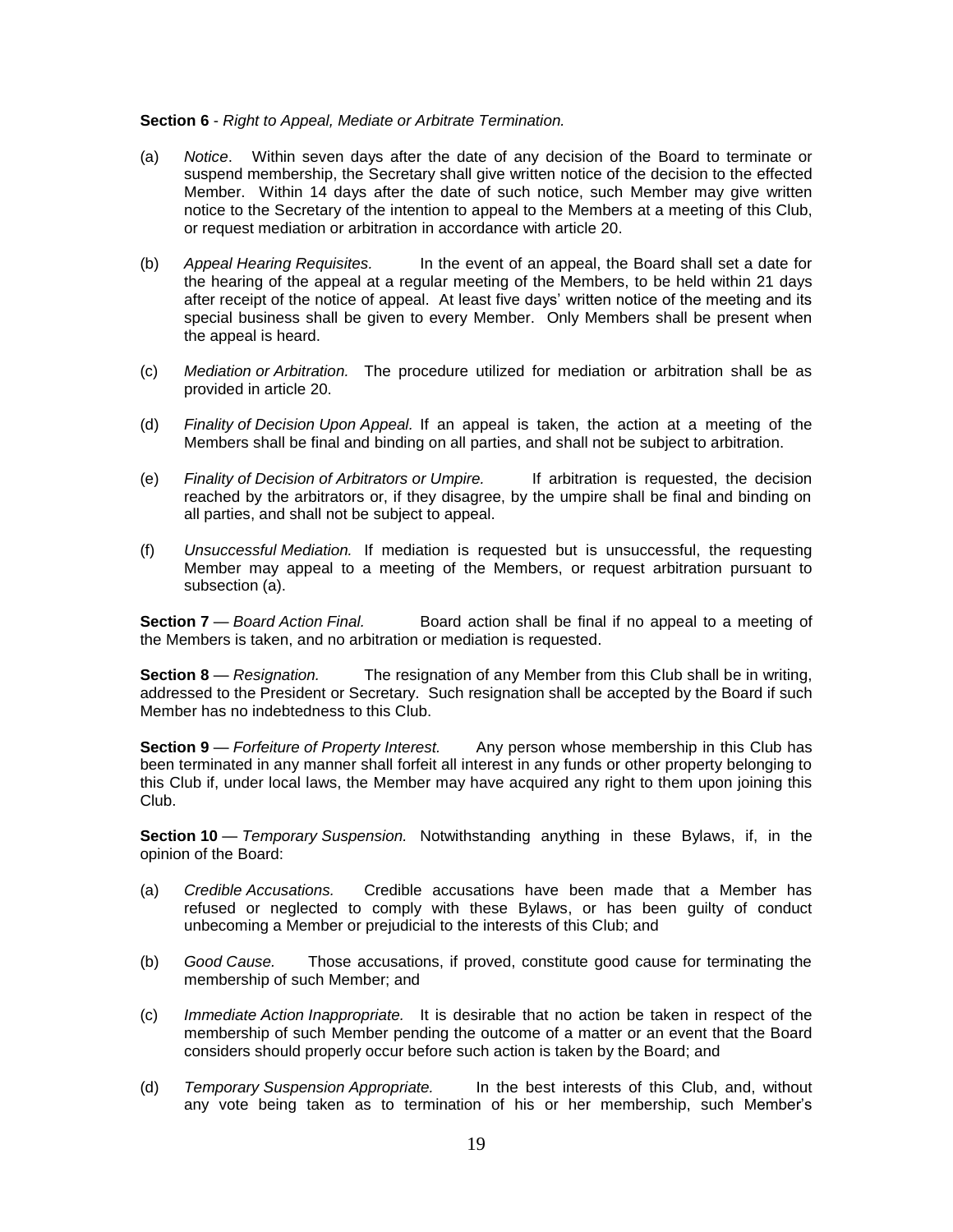#### **Section 6** - *Right to Appeal, Mediate or Arbitrate Termination.*

- (a) *Notice*. Within seven days after the date of any decision of the Board to terminate or suspend membership, the Secretary shall give written notice of the decision to the effected Member. Within 14 days after the date of such notice, such Member may give written notice to the Secretary of the intention to appeal to the Members at a meeting of this Club, or request mediation or arbitration in accordance with article 20.
- (b) *Appeal Hearing Requisites.* In the event of an appeal, the Board shall set a date for the hearing of the appeal at a regular meeting of the Members, to be held within 21 days after receipt of the notice of appeal. At least five days' written notice of the meeting and its special business shall be given to every Member. Only Members shall be present when the appeal is heard.
- (c) *Mediation or Arbitration.* The procedure utilized for mediation or arbitration shall be as provided in article 20.
- (d) *Finality of Decision Upon Appeal.* If an appeal is taken, the action at a meeting of the Members shall be final and binding on all parties, and shall not be subject to arbitration.
- (e) *Finality of Decision of Arbitrators or Umpire.* If arbitration is requested, the decision reached by the arbitrators or, if they disagree, by the umpire shall be final and binding on all parties, and shall not be subject to appeal.
- (f) *Unsuccessful Mediation.* If mediation is requested but is unsuccessful, the requesting Member may appeal to a meeting of the Members, or request arbitration pursuant to subsection (a).

**Section 7** — *Board Action Final.* Board action shall be final if no appeal to a meeting of the Members is taken, and no arbitration or mediation is requested.

**Section 8** — *Resignation.* The resignation of any Member from this Club shall be in writing, addressed to the President or Secretary. Such resignation shall be accepted by the Board if such Member has no indebtedness to this Club.

**Section 9** — *Forfeiture of Property Interest.* Any person whose membership in this Club has been terminated in any manner shall forfeit all interest in any funds or other property belonging to this Club if, under local laws, the Member may have acquired any right to them upon joining this Club.

**Section 10** — *Temporary Suspension.* Notwithstanding anything in these Bylaws, if, in the opinion of the Board:

- (a) *Credible Accusations.* Credible accusations have been made that a Member has refused or neglected to comply with these Bylaws, or has been guilty of conduct unbecoming a Member or prejudicial to the interests of this Club; and
- (b) *Good Cause.* Those accusations, if proved, constitute good cause for terminating the membership of such Member; and
- (c) *Immediate Action Inappropriate.* It is desirable that no action be taken in respect of the membership of such Member pending the outcome of a matter or an event that the Board considers should properly occur before such action is taken by the Board; and
- (d) *Temporary Suspension Appropriate.* In the best interests of this Club, and, without any vote being taken as to termination of his or her membership, such Member's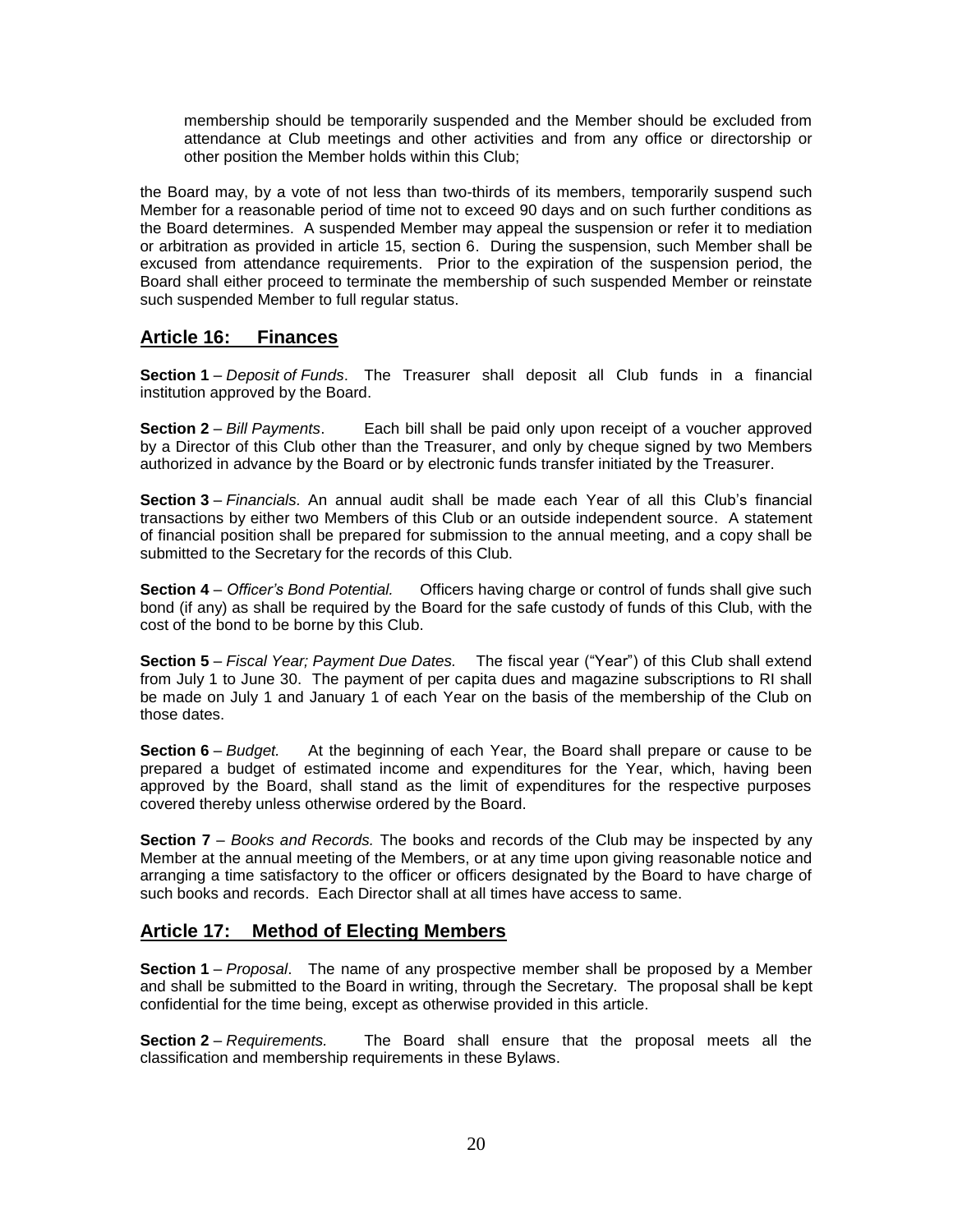membership should be temporarily suspended and the Member should be excluded from attendance at Club meetings and other activities and from any office or directorship or other position the Member holds within this Club;

the Board may, by a vote of not less than two-thirds of its members, temporarily suspend such Member for a reasonable period of time not to exceed 90 days and on such further conditions as the Board determines. A suspended Member may appeal the suspension or refer it to mediation or arbitration as provided in article 15, section 6. During the suspension, such Member shall be excused from attendance requirements. Prior to the expiration of the suspension period, the Board shall either proceed to terminate the membership of such suspended Member or reinstate such suspended Member to full regular status.

#### **Article 16: Finances**

**Section 1** – *Deposit of Funds*. The Treasurer shall deposit all Club funds in a financial institution approved by the Board.

**Section 2** – *Bill Payments*. Each bill shall be paid only upon receipt of a voucher approved by a Director of this Club other than the Treasurer, and only by cheque signed by two Members authorized in advance by the Board or by electronic funds transfer initiated by the Treasurer.

**Section 3** – *Financials.* An annual audit shall be made each Year of all this Club's financial transactions by either two Members of this Club or an outside independent source. A statement of financial position shall be prepared for submission to the annual meeting, and a copy shall be submitted to the Secretary for the records of this Club.

**Section 4** – *Officer's Bond Potential.* Officers having charge or control of funds shall give such bond (if any) as shall be required by the Board for the safe custody of funds of this Club, with the cost of the bond to be borne by this Club.

**Section 5** – *Fiscal Year; Payment Due Dates.* The fiscal year ("Year") of this Club shall extend from July 1 to June 30. The payment of per capita dues and magazine subscriptions to RI shall be made on July 1 and January 1 of each Year on the basis of the membership of the Club on those dates.

**Section 6** – *Budget.* At the beginning of each Year, the Board shall prepare or cause to be prepared a budget of estimated income and expenditures for the Year, which, having been approved by the Board, shall stand as the limit of expenditures for the respective purposes covered thereby unless otherwise ordered by the Board.

**Section 7** – *Books and Records.* The books and records of the Club may be inspected by any Member at the annual meeting of the Members, or at any time upon giving reasonable notice and arranging a time satisfactory to the officer or officers designated by the Board to have charge of such books and records. Each Director shall at all times have access to same.

## **Article 17: Method of Electing Members**

**Section 1** – *Proposal*. The name of any prospective member shall be proposed by a Member and shall be submitted to the Board in writing, through the Secretary. The proposal shall be kept confidential for the time being, except as otherwise provided in this article.

**Section 2** – *Requirements.* The Board shall ensure that the proposal meets all the classification and membership requirements in these Bylaws.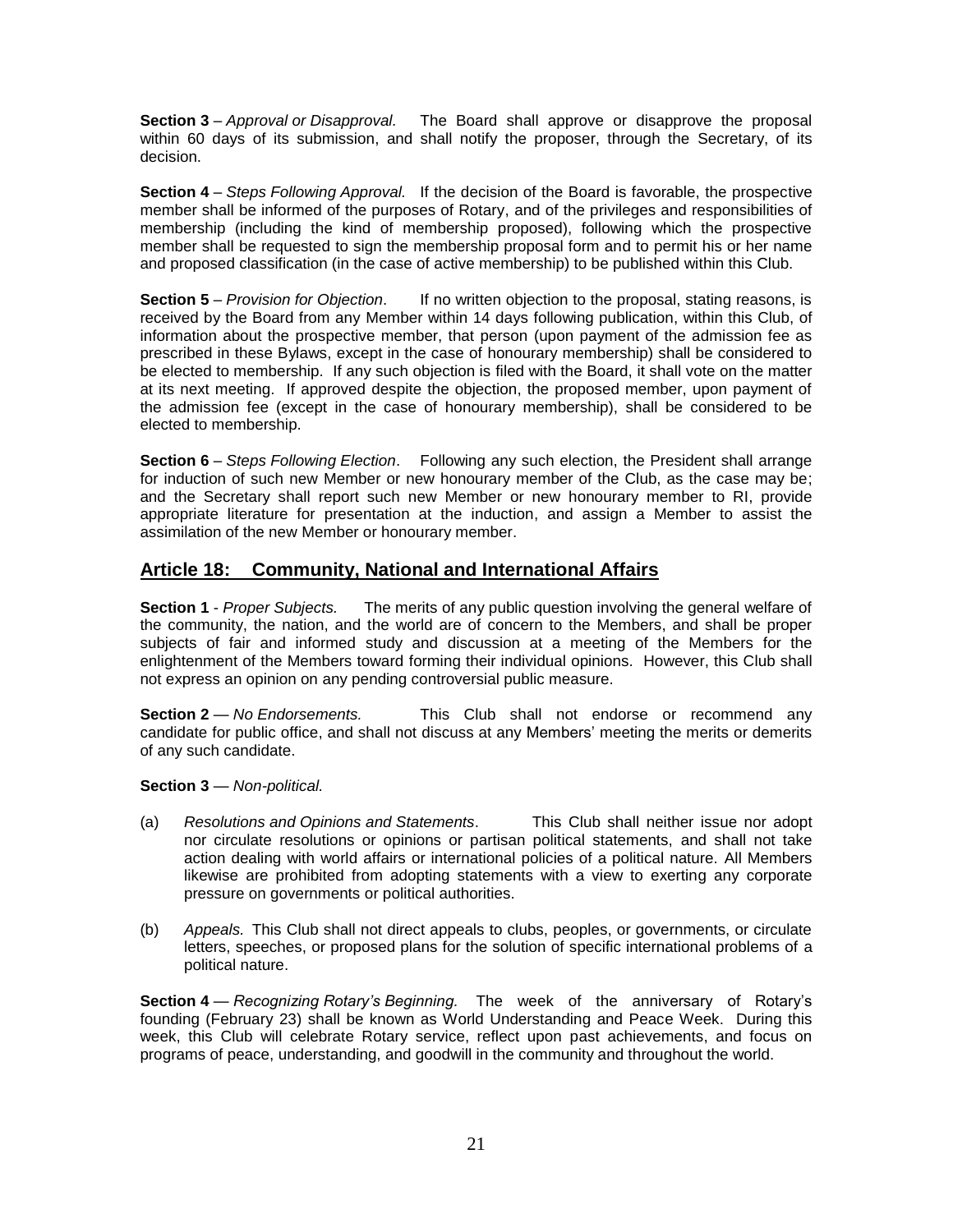**Section 3** – *Approval or Disapproval.* The Board shall approve or disapprove the proposal within 60 days of its submission, and shall notify the proposer, through the Secretary, of its decision.

**Section 4** – *Steps Following Approval.* If the decision of the Board is favorable, the prospective member shall be informed of the purposes of Rotary, and of the privileges and responsibilities of membership (including the kind of membership proposed), following which the prospective member shall be requested to sign the membership proposal form and to permit his or her name and proposed classification (in the case of active membership) to be published within this Club.

**Section 5** – *Provision for Objection*. If no written objection to the proposal, stating reasons, is received by the Board from any Member within 14 days following publication, within this Club, of information about the prospective member, that person (upon payment of the admission fee as prescribed in these Bylaws, except in the case of honourary membership) shall be considered to be elected to membership. If any such objection is filed with the Board, it shall vote on the matter at its next meeting. If approved despite the objection, the proposed member, upon payment of the admission fee (except in the case of honourary membership), shall be considered to be elected to membership.

**Section 6** – *Steps Following Election*. Following any such election, the President shall arrange for induction of such new Member or new honourary member of the Club, as the case may be; and the Secretary shall report such new Member or new honourary member to RI, provide appropriate literature for presentation at the induction, and assign a Member to assist the assimilation of the new Member or honourary member.

## **Article 18: Community, National and International Affairs**

**Section 1** - *Proper Subjects.* The merits of any public question involving the general welfare of the community, the nation, and the world are of concern to the Members, and shall be proper subjects of fair and informed study and discussion at a meeting of the Members for the enlightenment of the Members toward forming their individual opinions. However, this Club shall not express an opinion on any pending controversial public measure.

**Section 2** — *No Endorsements.* This Club shall not endorse or recommend any candidate for public office, and shall not discuss at any Members' meeting the merits or demerits of any such candidate.

#### **Section 3** — *Non-political.*

- (a) *Resolutions and Opinions and Statements*. This Club shall neither issue nor adopt nor circulate resolutions or opinions or partisan political statements, and shall not take action dealing with world affairs or international policies of a political nature. All Members likewise are prohibited from adopting statements with a view to exerting any corporate pressure on governments or political authorities.
- (b) *Appeals.* This Club shall not direct appeals to clubs, peoples, or governments, or circulate letters, speeches, or proposed plans for the solution of specific international problems of a political nature.

**Section 4** — *Recognizing Rotary's Beginning.* The week of the anniversary of Rotary's founding (February 23) shall be known as World Understanding and Peace Week. During this week, this Club will celebrate Rotary service, reflect upon past achievements, and focus on programs of peace, understanding, and goodwill in the community and throughout the world.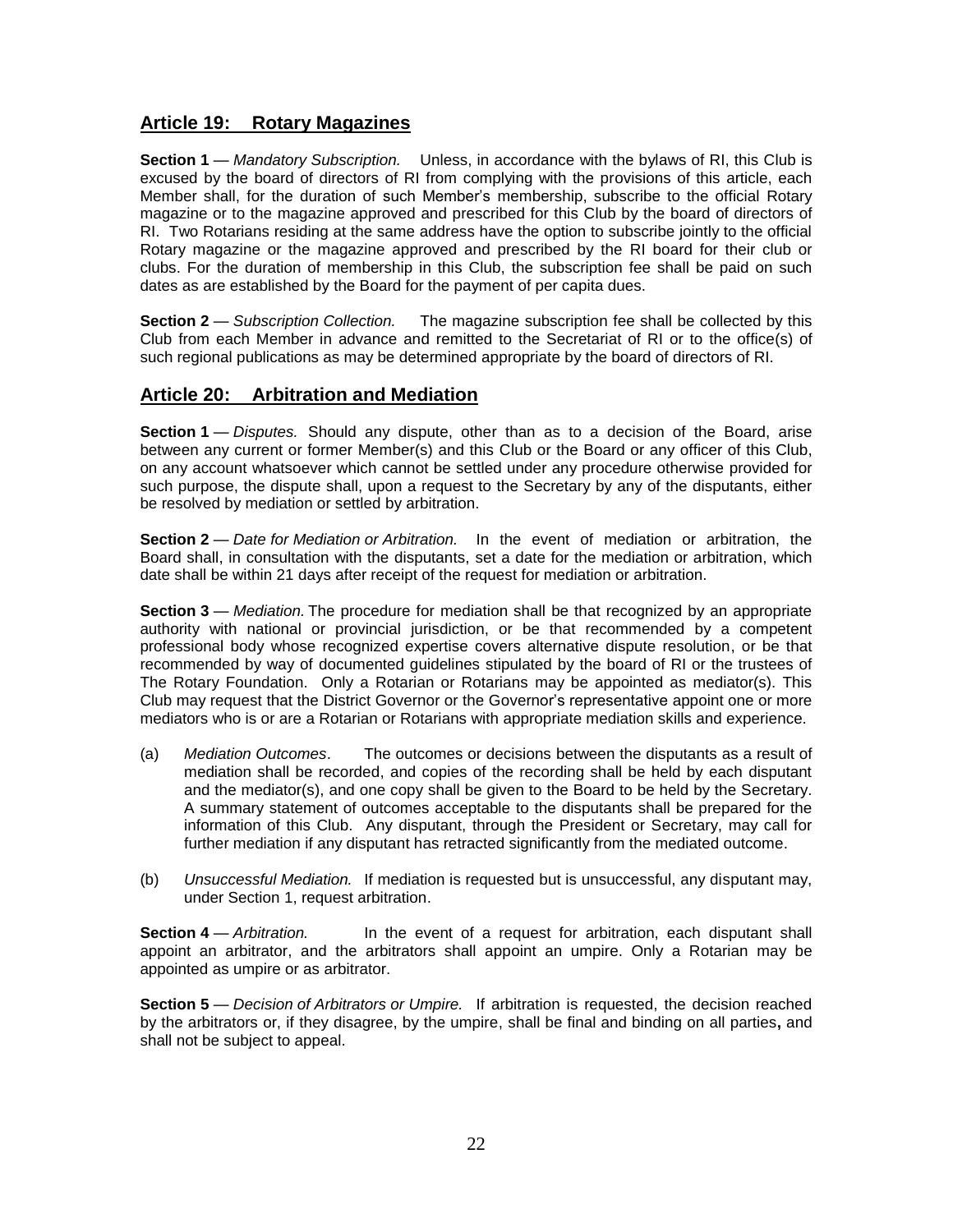#### **Article 19: Rotary Magazines**

**Section 1** — *Mandatory Subscription.* Unless, in accordance with the bylaws of RI, this Club is excused by the board of directors of RI from complying with the provisions of this article, each Member shall, for the duration of such Member's membership, subscribe to the official Rotary magazine or to the magazine approved and prescribed for this Club by the board of directors of RI. Two Rotarians residing at the same address have the option to subscribe jointly to the official Rotary magazine or the magazine approved and prescribed by the RI board for their club or clubs. For the duration of membership in this Club, the subscription fee shall be paid on such dates as are established by the Board for the payment of per capita dues.

**Section 2** — *Subscription Collection.* The magazine subscription fee shall be collected by this Club from each Member in advance and remitted to the Secretariat of RI or to the office(s) of such regional publications as may be determined appropriate by the board of directors of RI.

## **Article 20: Arbitration and Mediation**

**Section 1** — *Disputes*. Should any dispute, other than as to a decision of the Board, arise between any current or former Member(s) and this Club or the Board or any officer of this Club, on any account whatsoever which cannot be settled under any procedure otherwise provided for such purpose, the dispute shall, upon a request to the Secretary by any of the disputants, either be resolved by mediation or settled by arbitration.

**Section 2** — *Date for Mediation or Arbitration.* In the event of mediation or arbitration, the Board shall, in consultation with the disputants, set a date for the mediation or arbitration, which date shall be within 21 days after receipt of the request for mediation or arbitration.

**Section 3** — *Mediation*. The procedure for mediation shall be that recognized by an appropriate authority with national or provincial jurisdiction, or be that recommended by a competent professional body whose recognized expertise covers alternative dispute resolution, or be that recommended by way of documented guidelines stipulated by the board of RI or the trustees of The Rotary Foundation. Only a Rotarian or Rotarians may be appointed as mediator(s). This Club may request that the District Governor or the Governor's representative appoint one or more mediators who is or are a Rotarian or Rotarians with appropriate mediation skills and experience.

- (a) *Mediation Outcomes*. The outcomes or decisions between the disputants as a result of mediation shall be recorded, and copies of the recording shall be held by each disputant and the mediator(s), and one copy shall be given to the Board to be held by the Secretary. A summary statement of outcomes acceptable to the disputants shall be prepared for the information of this Club. Any disputant, through the President or Secretary, may call for further mediation if any disputant has retracted significantly from the mediated outcome.
- (b) *Unsuccessful Mediation.* If mediation is requested but is unsuccessful, any disputant may, under Section 1, request arbitration.

**Section 4** — *Arbitration.* In the event of a request for arbitration, each disputant shall appoint an arbitrator, and the arbitrators shall appoint an umpire. Only a Rotarian may be appointed as umpire or as arbitrator.

**Section 5** — *Decision of Arbitrators or Umpire.* If arbitration is requested, the decision reached by the arbitrators or, if they disagree, by the umpire, shall be final and binding on all parties**,** and shall not be subject to appeal.